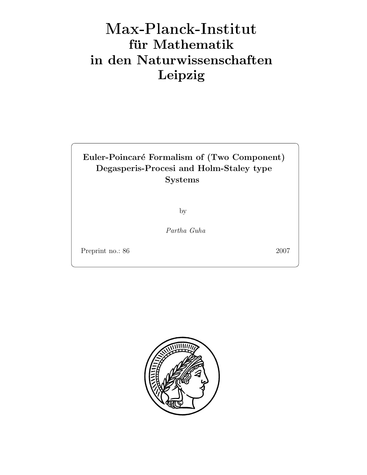# Max-Plan
k-Institut für Mathematik in den Naturwissenschaften Leipzig

# Euler-Poincar´e Formalism of (Two Component) Degasperis-Procesi and Holm-Staley type Systems

by

Partha Guha

Preprint no.: 86 2007

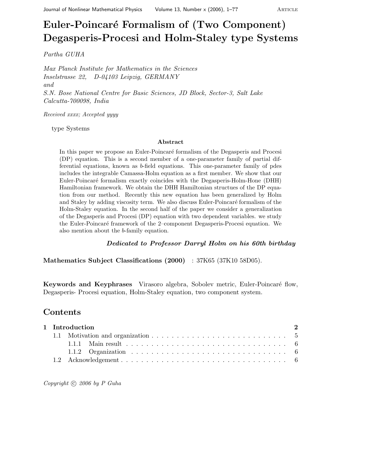# Euler-Poincaré Formalism of (Two Component) Degasperis-Procesi and Holm-Staley type Systems

Partha GUHA

Max Planck Institute for Mathematics in the Sciences Inselstrasse 22, D-04103 Leipzig, GERMANY and S.N. Bose National Centre for Basic Sciences, JD Block, Sector-3, Salt Lake Calcutta-700098, India

Received xxxx; Accepted yyyy

type Systems

#### Abstract

In this paper we propose an Euler-Poincaré formalism of the Degasperis and Procesi (DP) equation. This is a second member of a one-parameter family of partial differential equations, known as b-field equations. This one-parameter family of pdes includes the integrable Camassa-Holm equation as a first member. We show that our Euler-Poincar´e formalism exactly coincides with the Degasperis-Holm-Hone (DHH) Hamiltonian framework. We obtain the DHH Hamiltonian structues of the DP equation from our method. Recently this new equation has been generalized by Holm and Staley by adding viscosity term. We also discuss Euler-Poincaré formalism of the Holm-Staley equation. In the second half of the paper we consider a generalization of the Degasperis and Procesi (DP) equation with two dependent variables. we study the Euler-Poincaré framework of the 2–component Degasperis-Procesi equation. We also mention about the b-family equation.

### Dedicated to Professor Darryl Holm on his 60th birthday

Mathematics Subject Classifications (2000) : 37K65 (37K10 58D05).

Keywords and Keyphrases Virasoro algebra, Sobolev metric, Euler-Poincaré flow, Degasperis- Procesi equation, Holm-Staley equation, two component system.

### Contents

| 1 Introduction |  |  |  |  |
|----------------|--|--|--|--|
|                |  |  |  |  |
|                |  |  |  |  |
|                |  |  |  |  |
|                |  |  |  |  |

Copyright  $\odot$  2006 by P Guha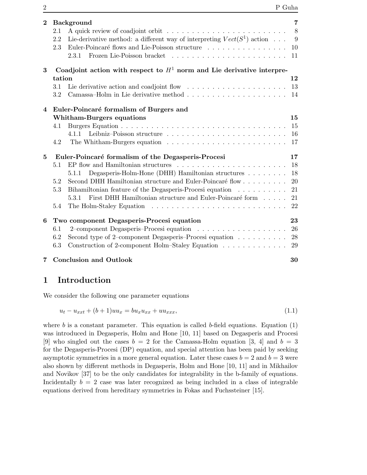| $\bf{2}$       | <b>Background</b>                                                                            |    |  |  |  |
|----------------|----------------------------------------------------------------------------------------------|----|--|--|--|
|                | 2.1                                                                                          | 8  |  |  |  |
|                | Lie-derivative method: a different way of interpreting $Vect(S^1)$ action<br>2.2             | 9  |  |  |  |
|                | Euler-Poincaré flows and Lie-Poisson structure<br>2.3                                        | 10 |  |  |  |
|                | 2.3.1                                                                                        | 11 |  |  |  |
| 3              | Coadjoint action with respect to $H^1$ norm and Lie derivative interpre-                     |    |  |  |  |
|                | tation                                                                                       |    |  |  |  |
|                | Lie derivative action and coadjoint flow $\ldots \ldots \ldots \ldots \ldots \ldots$<br>3.1  | 13 |  |  |  |
|                | 3.2                                                                                          |    |  |  |  |
| $\overline{4}$ | Euler-Poincaré formalism of Burgers and                                                      |    |  |  |  |
|                | <b>Whitham-Burgers equations</b>                                                             | 15 |  |  |  |
|                | 4.1                                                                                          | 15 |  |  |  |
|                | 4.1.1                                                                                        | 16 |  |  |  |
|                | 4.2                                                                                          | 17 |  |  |  |
| $\bf{5}$       | Euler-Poincaré formalism of the Degasperis-Procesi                                           |    |  |  |  |
|                | EP flow and Hamiltonian structures $\ldots \ldots \ldots \ldots \ldots \ldots \ldots$<br>5.1 | 18 |  |  |  |
|                | Degasperis-Holm-Hone (DHH) Hamiltonian structures<br>5.1.1                                   | 18 |  |  |  |
|                | Second DHH Hamiltonian structure and Euler-Poincaré flow<br>5.2                              | 20 |  |  |  |
|                | Bihamiltonian feature of the Degasperis-Procesi equation<br>5.3                              | 21 |  |  |  |
|                | 5.3.1 First DHH Hamiltonian structure and Euler-Poincaré form                                | 21 |  |  |  |
|                | 5.4                                                                                          | 22 |  |  |  |
| 6              | Two component Degasperis-Procesi equation                                                    |    |  |  |  |
|                | 6.1                                                                                          | 26 |  |  |  |
|                | Second type of 2–component Degasperis–Procesi equation $\ldots \ldots \ldots$<br>6.2         | 28 |  |  |  |
|                | Construction of 2-component Holm–Staley Equation<br>6.3                                      | 29 |  |  |  |
| 7              | <b>Conclusion and Outlook</b>                                                                | 30 |  |  |  |

# 1 Introduction

We consider the following one parameter equations

$$
u_t - u_{xxt} + (b+1)uu_x = bu_xu_{xx} + uu_{xxx},
$$
\n(1.1)

where b is a constant parameter. This equation is called b-field equations. Equation  $(1)$ was introduced in Degasperis, Holm and Hone [10, 11] based on Degasperis and Procesi [9] who singled out the cases  $b = 2$  for the Camassa-Holm equation [3, 4] and  $b = 3$ for the Degasperis-Procesi (DP) equation, and special attention has been paid by seeking asymptotic symmetries in a more general equation. Later these cases  $b = 2$  and  $b = 3$  were also shown by different methods in Degasperis, Holm and Hone [10, 11] and in Mikhailov and Novikov [37] to be the only candidates for integrability in the b-family of equations. Incidentally  $b = 2$  case was later recognized as being included in a class of integrable equations derived from hereditary symmetries in Fokas and Fuchssteiner [15].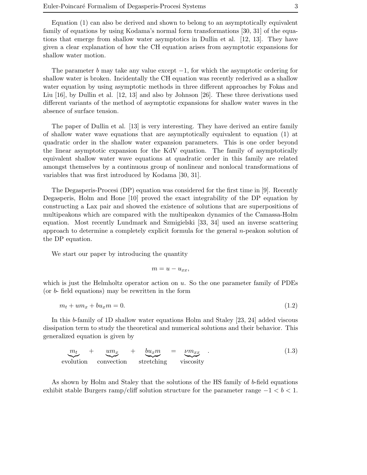Equation (1) can also be derived and shown to belong to an asymptotically equivalent family of equations by using Kodama's normal form transformations [30, 31] of the equations that emerge from shallow water asymptotics in Dullin et al. [12, 13]. They have given a clear explanation of how the CH equation arises from asymptotic expansions for shallow water motion.

The parameter b may take any value except  $-1$ , for which the asymptotic ordering for shallow water is broken. Incidentally the CH equation was recently rederived as a shallow water equation by using asymptotic methods in three different approaches by Fokas and Liu [16], by Dullin et al. [12, 13] and also by Johnson [26]. These three derivations used different variants of the method of asymptotic expansions for shallow water waves in the absence of surface tension.

The paper of Dullin et al. [13] is very interesting. They have derived an entire family of shallow water wave equations that are asymptotically equivalent to equation (1) at quadratic order in the shallow water expansion parameters. This is one order beyond the linear asymptotic expansion for the KdV equation. The family of asymptotically equivalent shallow water wave equations at quadratic order in this family are related amongst themselves by a continuous group of nonlinear and nonlocal transformations of variables that was first introduced by Kodama [30, 31].

The Degasperis-Procesi (DP) equation was considered for the first time in [9]. Recently Degasperis, Holm and Hone [10] proved the exact integrability of the DP equation by constructing a Lax pair and showed the existence of solutions that are superpositions of multipeakons which are compared with the multipeakon dynamics of the Camassa-Holm equation. Most recently Lundmark and Szmigielski [33, 34] used an inverse scattering approach to determine a completely explicit formula for the general n-peakon solution of the DP equation.

We start our paper by introducing the quantity

$$
m=u-u_{xx},
$$

which is just the Helmholtz operator action on  $u$ . So the one parameter family of PDEs (or b- field equations) may be rewritten in the form

$$
m_t + u m_x + b u_x m = 0. \tag{1.2}
$$

In this b-family of 1D shallow water equations Holm and Staley [23, 24] added viscous dissipation term to study the theoretical and numerical solutions and their behavior. This generalized equation is given by

$$
\underbrace{m_t}_{\text{evolution}} + \underbrace{um_x}_{\text{convection}} + \underbrace{bu_x m}_{\text{stretching}} = \underbrace{\nu m_{xx}}_{\text{viscosity}}.
$$
\n(1.3)

As shown by Holm and Staley that the solutions of the HS family of b-field equations exhibit stable Burgers ramp/cliff solution structure for the parameter range  $-1 < b < 1$ .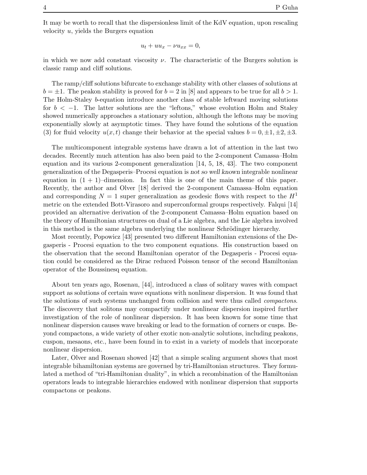$$
u_t + uu_x - \nu u_{xx} = 0,
$$

in which we now add constant viscosity  $\nu$ . The characteristic of the Burgers solution is classic ramp and cliff solutions.

The ramp/cliff solutions bifurcate to exchange stability with other classes of solutions at  $b = \pm 1$ . The peakon stability is proved for  $b = 2$  in [8] and appears to be true for all  $b > 1$ . The Holm-Staley b-equation introduce another class of stable leftward moving solutions for  $b < -1$ . The latter solutions are the "leftons," whose evolution Holm and Staley showed numerically approaches a stationary solution, although the leftons may be moving exponentially slowly at asymptotic times. They have found the solutions of the equation (3) for fluid velocity  $u(x, t)$  change their behavior at the special values  $b = 0, \pm 1, \pm 2, \pm 3.$ 

The multicomponent integrable systems have drawn a lot of attention in the last two decades. Recently much attention has also been paid to the 2-component Camassa–Holm equation and its various 2-component generalization [14, 5, 18, 43]. The two component generalization of the Degasperis–Procesi equation is not so well known integrable nonlinear equation in  $(1 + 1)$ –dimension. In fact this is one of the main theme of this paper. Recently, the author and Olver [18] derived the 2-component Camassa–Holm equation and corresponding  $N = 1$  super generalization as geodesic flows with respect to the  $H<sup>1</sup>$ metric on the extended Bott-Virasoro and superconformal groups respectively. Falqui [14] provided an alternative derivation of the 2-component Camassa–Holm equation based on the theory of Hamiltonian structures on dual of a Lie algebra, and the Lie algebra involved in this method is the same algebra underlying the nonlinear Schrödinger hierarchy.

Most recently, Popowicz [43] presented two different Hamiltonian extensions of the Degasperis - Procesi equation to the two component equations. His construction based on the observation that the second Hamiltonian operator of the Degasperis - Procesi equation could be considered as the Dirac reduced Poisson tensor of the second Hamiltonian operator of the Boussinesq equation.

About ten years ago, Rosenau, [44], introduced a class of solitary waves with compact support as solutions of certain wave equations with nonlinear dispersion. It was found that the solutions of such systems unchanged from collision and were thus called compactons. The discovery that solitons may compactify under nonlinear dispersion inspired further investigation of the role of nonlinear dispersion. It has been known for some time that nonlinear dispersion causes wave breaking or lead to the formation of corners or cusps. Beyond compactons, a wide variety of other exotic non-analytic solutions, including peakons, cuspon, mesaons, etc., have been found in to exist in a variety of models that incorporate nonlinear dispersion.

Later, Olver and Rosenau showed [42] that a simple scaling argument shows that most integrable bihamiltonian systems are governed by tri-Hamiltonian structures. They formulated a method of "tri-Hamiltonian duality", in which a recombination of the Hamiltonian operators leads to integrable hierarchies endowed with nonlinear dispersion that supports compactons or peakons.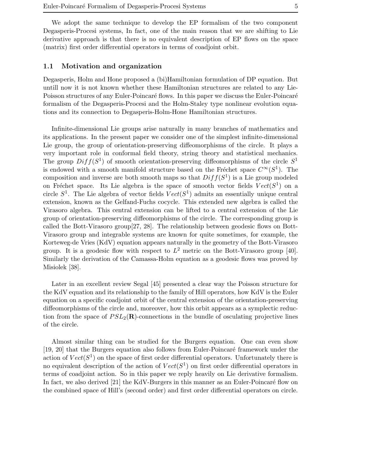We adopt the same technique to develop the EP formalism of the two component Degasperis-Procesi systems, In fact, one of the main reason that we are shifting to Lie derivative approach is that there is no equivalent description of EP flows on the space (matrix) first order differential operators in terms of coadjoint orbit.

### 1.1 Motivation and organization

Degasperis, Holm and Hone proposed a (bi)Hamiltonian formulation of DP equation. But untill now it is not known whether these Hamiltonian structures are related to any Lie-Poisson structures of any Euler-Poincaré flows. In this paper we discuss the Euler-Poincaré formalism of the Degasperis-Procesi and the Holm-Staley type nonlinear evolution equations and its connection to Degasperis-Holm-Hone Hamiltonian structures.

Infinite-dimensional Lie groups arise naturally in many branches of mathematics and its applications. In the present paper we consider one of the simplest infinite-dimensional Lie group, the group of orientation-preserving diffeomorphisms of the circle. It plays a very important role in conformal field theory, string theory and statistical mechanics. The group  $Diff(S^1)$  of smooth orientation-preserving diffeomorphisms of the circle  $S^1$ is endowed with a smooth manifold structure based on the Fréchet space  $C^{\infty}(S^1)$ . The composition and inverse are both smooth maps so that  $Diff(S^1)$  is a Lie group modeled on Fréchet space. Its Lie algebra is the space of smooth vector fields  $Vect(S^1)$  on a circle  $S^1$ . The Lie algebra of vector fields  $Vect(S^1)$  admits an essentially unique central extension, known as the Gelfand-Fuchs cocycle. This extended new algebra is called the Virasoro algebra. This central extension can be lifted to a central extension of the Lie group of orientation-preserving diffeomorphisms of the circle. The corresponding group is called the Bott-Virasoro group[27, 28]. The relationship between geodesic flows on Bott-Virasoro group and integrable systems are known for quite sometimes, for example, the Korteweg-de Vries (KdV) equation appears naturally in the geometry of the Bott-Virasoro group. It is a geodesic flow with respect to  $L^2$  metric on the Bott-Virasoro group [40]. Similarly the derivation of the Camassa-Holm equation as a geodesic flows was proved by Misiolek [38].

Later in an excellent review Segal [45] presented a clear way the Poisson structure for the KdV equation and its relationship to the family of Hill operators, how KdV is the Euler equation on a specific coadjoint orbit of the central extension of the orientation-preserving diffeomorphisms of the circle and, moreover, how this orbit appears as a symplectic reduction from the space of  $PSL_2(\mathbf{R})$ -connections in the bundle of osculating projective lines of the circle.

Almost similar thing can be studied for the Burgers equation. One can even show [19, 20] that the Burgers equation also follows from Euler-Poincaré framework under the action of  $Vect(S^1)$  on the space of first order differential operators. Unfortunately there is no equivalent description of the action of  $Vect(S^1)$  on first order differential operators in terms of coadjoint action. So in this paper we reply heavily on Lie derivative formalism. In fact, we also derived [21] the KdV-Burgers in this manner as an Euler-Poincaré flow on the combined space of Hill's (second order) and first order differential operators on circle.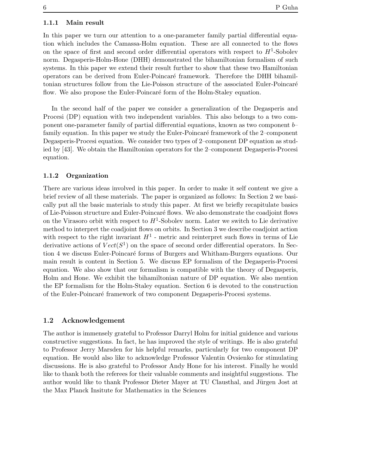### 1.1.1 Main result

In this paper we turn our attention to a one-parameter family partial differential equation which includes the Camassa-Holm equation. These are all connected to the flows on the space of first and second order differential operators with respect to  $H^1$ -Sobolev norm. Degasperis-Holm-Hone (DHH) demonstrated the bihamiltonian formalism of such systems. In this paper we extend their result further to show that these two Hamiltonian operators can be derived from Euler-Poincar´e framework. Therefore the DHH bihamiltonian structures follow from the Lie-Poisson structure of the associated Euler-Poincar´e flow. We also propose the Euler-Poincaré form of the Holm-Staley equation.

In the second half of the paper we consider a generalization of the Degasperis and Procesi (DP) equation with two independent variables. This also belongs to a two component one-parameter family of partial differential equations, known as two component b– family equation. In this paper we study the Euler-Poincaré framework of the 2–component Degasperis-Procesi equation. We consider two types of 2–component DP equation as studied by [43]. We obtain the Hamiltonian operators for the 2–component Degasperis-Procesi equation.

### 1.1.2 Organization

There are various ideas involved in this paper. In order to make it self content we give a brief review of all these materials. The paper is organized as follows: In Section 2 we basically put all the basic materials to study this paper. At first we briefly recapitulate basics of Lie-Poisson structure and Euler-Poincar´e flows. We also demonstrate the coadjoint flows on the Virasoro orbit with respect to  $H^1$ -Sobolev norm. Later we switch to Lie derivative method to interpret the coadjoint flows on orbits. In Section 3 we describe coadjoint action with respect to the right invariant  $H^1$  - metric and reinterpret such flows in terms of Lie derivative actions of  $Vect(S^1)$  on the space of second order differential operators. In Section 4 we discuss Euler-Poincaré forms of Burgers and Whitham-Burgers equations. Our main result is content in Section 5. We discuss EP formalism of the Degasperis-Procesi equation. We also show that our formalism is compatible with the theory of Degasperis, Holm and Hone. We exhibit the bihamiltonian nature of DP equation. We also mention the EP formalism for the Holm-Staley equation. Section 6 is devoted to the construction of the Euler-Poincar´e framework of two component Degasperis-Procesi systems.

### 1.2 Acknowledgement

The author is immensely grateful to Professor Darryl Holm for initial guidence and various constructive suggestions. In fact, he has improved the style of writings. He is also grateful to Professor Jerry Marsden for his helpful remarks, particularly for two component DP equation. He would also like to acknowledge Professor Valentin Ovsienko for stimulating discussions. He is also grateful to Professor Andy Hone for his interest. Finally he would like to thank both the referees for their valuable comments and insightful suggestions. The author would like to thank Professor Dieter Mayer at TU Clausthal, and Jürgen Jost at the Max Planck Insitute for Mathematics in the Sciences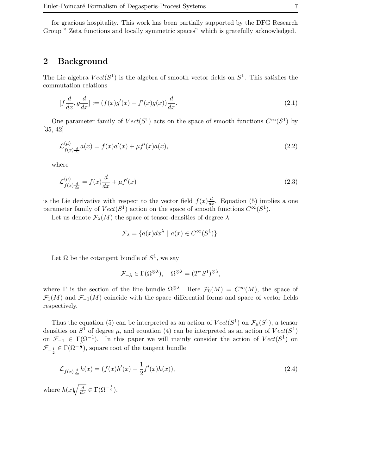for gracious hospitality. This work has been partially supported by the DFG Research Group " Zeta functions and locally symmetric spaces" which is gratefully acknowledged.

### 2 Background

The Lie algebra  $Vect(S^1)$  is the algebra of smooth vector fields on  $S^1$ . This satisfies the commutation relations

$$
[f\frac{d}{dx}, g\frac{d}{dx}] := (f(x)g'(x) - f'(x)g(x))\frac{d}{dx}.
$$
\n(2.1)

One parameter family of  $Vect(S^1)$  acts on the space of smooth functions  $C^{\infty}(S^1)$  by [35, 42]

$$
\mathcal{L}^{(\mu)}_{f(x)\frac{d}{dx}}a(x) = f(x)a'(x) + \mu f'(x)a(x),\tag{2.2}
$$

where

$$
\mathcal{L}^{(\mu)}_{f(x)\frac{d}{dx}} = f(x)\frac{d}{dx} + \mu f'(x)
$$
\n(2.3)

is the Lie derivative with respect to the vector field  $f(x)\frac{d}{dx}$ . Equation (5) implies a one parameter family of  $Vect(S^1)$  action on the space of smooth functions  $C^{\infty}(S^1)$ .

Let us denote  $\mathcal{F}_{\lambda}(M)$  the space of tensor-densities of degree  $\lambda$ :

$$
\mathcal{F}_{\lambda} = \{ a(x) dx^{\lambda} \mid a(x) \in C^{\infty}(S^1) \}.
$$

Let  $\Omega$  be the cotangent bundle of  $S^1$ , we say

$$
\mathcal{F}_{-\lambda} \in \Gamma(\Omega^{\otimes \lambda}), \quad \Omega^{\otimes \lambda} = (T^*S^1)^{\otimes \lambda},
$$

where  $\Gamma$  is the section of the line bundle  $\Omega^{\otimes \lambda}$ . Here  $\mathcal{F}_0(M) = C^{\infty}(M)$ , the space of  $\mathcal{F}_1(M)$  and  $\mathcal{F}_{-1}(M)$  coincide with the space differential forms and space of vector fields respectively.

Thus the equation (5) can be interpreted as an action of  $Vect(S^1)$  on  $\mathcal{F}_{\mu}(S^1)$ , a tensor densities on  $S^1$  of degree  $\mu$ , and equation (4) can be interpreted as an action of  $Vect(S^1)$ on  $\mathcal{F}_{-1} \in \Gamma(\Omega^{-1})$ . In this paper we will mainly consider the action of  $Vect(S^1)$  on  $\mathcal{F}_{-\frac{1}{2}} \in \Gamma(\Omega^{-\frac{1}{2}})$ , square root of the tangent bundle

$$
\mathcal{L}_{f(x)\frac{d}{dx}}h(x) = (f(x)h'(x) - \frac{1}{2}f'(x)h(x)),
$$
\n(2.4)

where  $h(x)\sqrt{\frac{d}{dx}} \in \Gamma(\Omega^{-\frac{1}{2}})$ .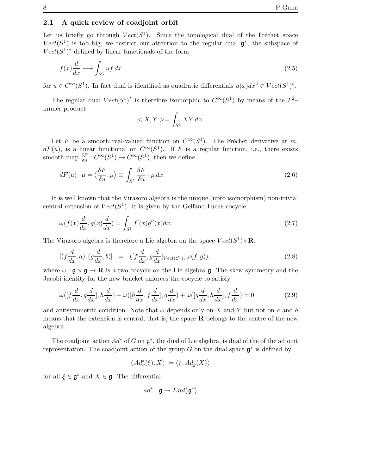### 2.1 A quick review of coadjoint orbit

Let us briefly go through  $Vect(S^1)$ . Since the topological dual of the Fréchet space  $Vect(S^1)$  is too big, we restrict our attention to the regular dual  $\mathfrak{g}^*$ , the subspace of  $Vect(S^1)^*$  defined by linear functionals of the form

$$
f(x)\frac{d}{dx} \longmapsto \int_{S^1} u f \, dx \tag{2.5}
$$

for  $u \in C^{\infty}(S^1)$ . In fact dual is identified as quadratic differentials  $u(x)dx^2 \in Vect(S^1)^*$ .

The regular dual  $Vect(S^1)^*$  is therefore isomorphic to  $C^{\infty}(S^1)$  by means of the  $L^2$ innner product

$$
\langle X, Y \rangle = \int_{S^1} XY \, dx.
$$

Let F be a smooth real-valued function on  $C^{\infty}(S^1)$ . The Fréchet derivative at m,  $dF(u)$ , is a linear functional on  $C^{\infty}(S^1)$ . If F is a regular function, i.e., there exists smooth map  $\frac{\delta F}{\delta u} : C^{\infty}(S^1) \to C^{\infty}(S^1)$ , then we define

$$
dF(u) \cdot \mu = \langle \frac{\delta F}{\delta u}, \mu \rangle \equiv \int_{S^1} \frac{\delta F}{\delta u} \cdot \mu \, dx. \tag{2.6}
$$

It is well known that the Virasoro algebra is the unique (upto isomorphism) non-trivial central extension of  $Vect(S^1)$ . It is given by the Gelfand-Fuchs cocycle

$$
\omega(f(x)\frac{d}{dx}, g(x)\frac{d}{dx}) = \int_{S^1} f'(x)g''(x)dx.
$$
\n(2.7)

The Virasoro algebra is therefore a Lie algebra on the space  $Vect(S^1) \oplus \mathbf{R}$ .

$$
[(f\frac{d}{dx},a),(g\frac{d}{dx},b)] = ([f\frac{d}{dx},g\frac{d}{dx}]_{Vect(S^1)},\omega(f,g)),
$$
\n(2.8)

where  $\omega : \mathfrak{g} \times \mathfrak{g} \to \mathbb{R}$  is a two cocycle on the Lie algebra  $\mathfrak{g}$ . The skew symmetry and the Jacobi identity for the new bracket enforces the cocycle to satisfy

$$
\omega([f\frac{d}{dx}, g\frac{d}{dx}], h\frac{d}{dx}) + \omega([h\frac{d}{dx}, f\frac{d}{dx}], g\frac{d}{dx}) + \omega([g\frac{d}{dx}, h\frac{d}{dx}], f\frac{d}{dx}) = 0
$$
\n(2.9)

and antisymmetric condition. Note that  $\omega$  depends only on X and Y but not on a and b means that the extension is central, that is, the space  **belongs to the centre of the new** algebra.

The coadjoint action  $Ad^*$  of G on  $\mathfrak{g}^*$ , the dual of Lie algebra, is dual of the of the adjoint representation. The coadjoint action of the group G on the dual space  $\mathfrak{g}^*$  is defined by

$$
\left\langle Ad^*_g(\xi),X\right\rangle:=\left\langle \xi,Ad_g(X)\right\rangle
$$

for all  $\xi \in \mathfrak{g}^*$  and  $X \in \mathfrak{g}$ . The differential

$$
ad^*:\mathfrak{g}\rightarrow End\big(\mathfrak{g}^*\big)
$$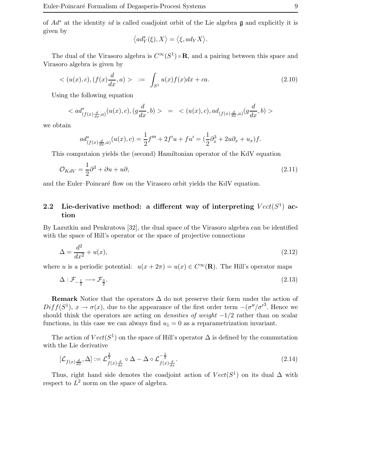of  $Ad^*$  at the identity id is called coadjoint orbit of the Lie algebra g and explicitly it is given by

$$
\left\langle ad_Y^*(\xi),X\right\rangle=\big\langle \xi,ad_YX\big\rangle.
$$

The dual of the Virasoro algebra is  $C^{\infty}(S^1) \oplus \mathbf{R}$ , and a pairing between this space and Virasoro algebra is given by

$$
\langle (u(x), c), (f(x)\frac{d}{dx}, a) \rangle \quad := \quad \int_{S^1} u(x)f(x)dx + ca. \tag{2.10}
$$

Using the following equation

$$
\langle ad^*_{(f(x)\frac{d}{dx},a)}(u(x),c),(g\frac{d}{dx},b)\rangle = \langle (u(x),c),ad_{(f(x)\frac{d}{dx},a)}(g\frac{d}{dx},b)\rangle
$$

we obtain

$$
ad^*_{(f(x)\frac{d}{dx},a)}(u(x),c) = \frac{1}{2}f''' + 2f'u + fu' = (\frac{1}{2}\partial_x^3 + 2u\partial_x + u_x)f.
$$

This computaion yields the (second) Hamiltonian operator of the KdV equation

$$
\mathcal{O}_{KdV} = \frac{1}{2}\partial^3 + \partial u + u\partial,\tag{2.11}
$$

and the Euler–Poincaré flow on the Virasoro orbit yields the KdV equation.

# 2.2 Lie-derivative method: a different way of interpreting  $Vect(S^1)$  action

By Lazutkin and Penkratova [32], the dual space of the Virasoro algebra can be identified with the space of Hill's operator or the space of projective connections

$$
\Delta = \frac{d^2}{dx^2} + u(x),\tag{2.12}
$$

where u is a periodic potential:  $u(x+2\pi) = u(x) \in C^{\infty}(\mathbf{R})$ . The Hill's operator maps

$$
\Delta: \mathcal{F}_{-\frac{1}{2}} \longrightarrow \mathcal{F}_{\frac{3}{2}}.\tag{2.13}
$$

Remark Notice that the operators  $\Delta$  do not preserve their form under the action of  $Diff(S<sup>1</sup>), x \to \sigma(x)$ , due to the appearance of the first order term  $-(\sigma''/\sigma'^3)$ . Hence we should think the operators are acting on *densities of weight*  $-1/2$  rather than on scalar functions, in this case we can always find  $u_1 = 0$  as a reparametrization invariant.

The action of  $Vect(S^1)$  on the space of Hill's operator  $\Delta$  is defined by the commutation with the Lie derivative

$$
[\mathcal{L}_{f(x)\frac{d}{dx}}, \Delta] := \mathcal{L}_{f(x)\frac{d}{dx}}^{\frac{3}{2}} \circ \Delta - \Delta \circ \mathcal{L}_{f(x)\frac{d}{dx}}^{-\frac{1}{2}}.
$$
\n(2.14)

Thus, right hand side denotes the coadjoint action of  $Vect(S^1)$  on its dual  $\Delta$  with respect to  $L^2$  norm on the space of algebra.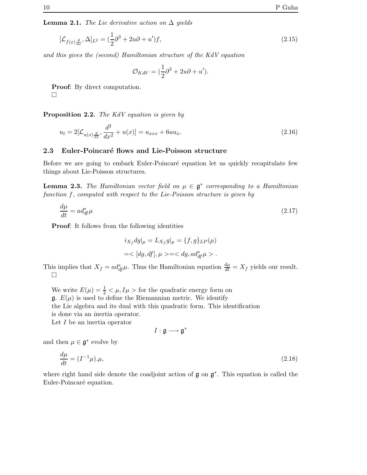**Lemma 2.1.** The Lie derivative action on  $\Delta$  yields

$$
[\mathcal{L}_{f(x)\frac{d}{dx}}, \Delta]_{L^2} = (\frac{1}{2}\partial^3 + 2u\partial + u')f,
$$
\n(2.15)

and this gives the (second) Hamiltonian structure of the KdV equation

$$
\mathcal{O}_{KdV} = (\frac{1}{2}\partial^3 + 2u\partial + u').
$$

Proof: By direct computation.  $\Box$ 

Proposition 2.2. The KdV equation is given by

$$
u_t = 2[\mathcal{L}_{u(x)\frac{d}{dx}}, \frac{d^2}{dx^2} + u(x)] = u_{xxx} + 6uu_x.
$$
 (2.16)

### 2.3 Euler-Poincaré flows and Lie-Poisson structure

Before we are going to embark Euler-Poincaré equation let us quickly recapitulate few things about Lie-Poisson structures.

**Lemma 2.3.** The Hamiltonian vector field on  $\mu \in \mathfrak{g}^*$  corresponding to a Hamiltonian function f, computed with respect to the Lie-Poisson structure is given by

$$
\frac{d\mu}{dt} = ad_{df}^*\mu \tag{2.17}
$$

Proof: It follows from the following identities

$$
i_{X_f} dg|_\mu = L_{X_f} g|_\mu = \{f, g\}_{LP} (\mu)
$$
  
=<[dg, df],  $\mu$  >= $dg$ ,  $ad_{df}^* \mu$  >.

This implies that  $X_f = ad^*_{df}\mu$ . Thus the Hamiltonian equation  $\frac{d\mu}{dt} = X_f$  yields our result.  $\Box$ 

We write  $E(\mu) = \frac{1}{2} < \mu, I\mu$  > for the quadratic energy form on  $\mathfrak{g}$ .  $E(\mu)$  is used to define the Riemannian metric. We identify the Lie algebra and its dual with this quadratic form. This identification is done via an inertia operator.

Let  $I$  be an inertia operator

$$
I: \mathfrak{g} \longrightarrow \mathfrak{g}^*
$$

and then  $\mu \in \mathfrak{g}^*$  evolve by

$$
\frac{d\mu}{dt} = (I^{-1}\mu)\cdot\mu,\tag{2.18}
$$

where right hand side denote the coadjoint action of  $\mathfrak g$  on  $\mathfrak g^*$ . This equation is called the Euler-Poincaré equation.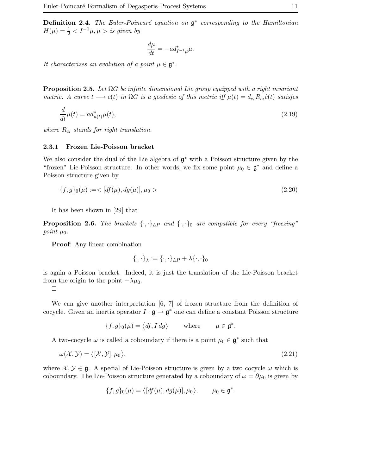**Definition 2.4.** The Euler-Poincaré equation on  $\mathfrak{g}^*$  corresponding to the Hamiltonian  $H(\mu) = \frac{1}{2} < I^{-1}\mu, \mu > i$ s given by

$$
\frac{d\mu}{dt} = -ad_{I^{-1}\mu}^*\mu.
$$

It characterizes an evolution of a point  $\mu \in \mathfrak{g}^*$ .

**Proposition 2.5.** Let  $\Omega G$  be infinite dimensional Lie group equipped with a right invariant metric. A curve  $t \longrightarrow c(t)$  in  $\Omega G$  is a geodesic of this metric iff  $\mu(t) = d_{c_t} R_{c_t} \dot{c}(t)$  satisfes

$$
\frac{d}{dt}\mu(t) = ad_{u(t)}^*\mu(t),\tag{2.19}
$$

where  $R_{c_t}$  stands for right translation.

#### 2.3.1 Frozen Lie-Poisson bracket

We also consider the dual of the Lie algebra of g <sup>∗</sup> with a Poisson structure given by the "frozen" Lie-Poisson structure. In other words, we fix some point  $\mu_0 \in \mathfrak{g}^*$  and define a Poisson structure given by

$$
\{f, g\}_0(\mu) := \langle [df(\mu), dg(\mu)], \mu_0 \rangle
$$
\n(2.20)

It has been shown in [29] that

**Proposition 2.6.** The brackets  $\{\cdot,\cdot\}_L$  and  $\{\cdot,\cdot\}_0$  are compatible for every "freezing" point  $\mu_0$ .

Proof: Any linear combination

$$
\{\cdot,\cdot\}_{\lambda}:=\{\cdot,\cdot\}_{LP}+\lambda\{\cdot,\cdot\}_0
$$

is again a Poisson bracket. Indeed, it is just the translation of the Lie-Poisson bracket from the origin to the point  $-\lambda\mu_0$ .

 $\Box$ 

We can give another interpretation [6, 7] of frozen structure from the definition of cocycle. Given an inertia operator  $I: \mathfrak{g} \to \mathfrak{g}^*$  one can define a constant Poisson structure

$$
\{f,g\}_0(\mu) = \langle df, I \, dg \rangle \qquad \text{where} \qquad \mu \in \mathfrak{g}^*.
$$

A two-cocycle  $\omega$  is called a coboundary if there is a point  $\mu_0 \in \mathfrak{g}^*$  such that

$$
\omega(\mathcal{X}, \mathcal{Y}) = \langle [\mathcal{X}, \mathcal{Y}], \mu_0 \rangle, \tag{2.21}
$$

where  $X, Y \in \mathfrak{g}$ . A special of Lie-Poisson structure is given by a two cocycle  $\omega$  which is coboundary. The Lie-Poisson structure generated by a coboundary of  $\omega = \partial \mu_0$  is given by

$$
\{f,g\}_{0}(\mu) = \langle [df(\mu), dg(\mu)], \mu_0 \rangle, \qquad \mu_0 \in \mathfrak{g}^*.
$$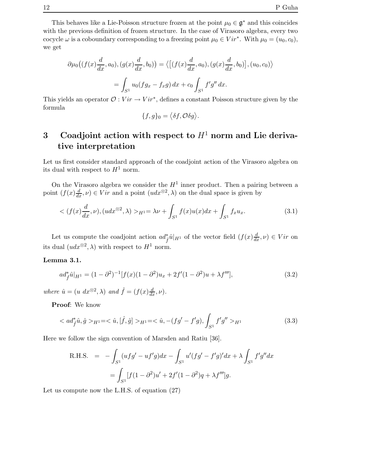This behaves like a Lie-Poisson structure frozen at the point  $\mu_0 \in \mathfrak{g}^*$  and this coincides with the previous definition of frozen structure. In the case of Virasoro algebra, every two cocycle  $\omega$  is a coboundary corresponding to a freezing point  $\mu_0 \in Vir^*$ . With  $\mu_0 = (u_0, c_0)$ , we get

$$
\partial \mu_0 \big( (f(x) \frac{d}{dx}, a_0), (g(x) \frac{d}{dx}, b_0) \big) = \big\langle \big[ (f(x) \frac{d}{dx}, a_0), (g(x) \frac{d}{dx}, b_0) \big], (u_0, c_0) \big\rangle
$$

$$
= \int_{S^1} u_0 (f g_x - f_x g) \, dx + c_0 \int_{S^1} f' g'' \, dx.
$$

This yields an operator  $\mathcal{O}: Vir \to Vir^*$ , defines a constant Poisson structure given by the formula

$$
\{f,g\}_0=\big\langle \delta f,\mathcal{O}\delta g\big\rangle.
$$

# 3 Coadjoint action with respect to  $H<sup>1</sup>$  norm and Lie derivative interpretation

Let us first consider standard approach of the coadjoint action of the Virasoro algebra on its dual with respect to  $H^1$  norm.

On the Virasoro algebra we consider the  $H<sup>1</sup>$  inner product. Then a pairing between a point  $(f(x) \frac{d}{dx}, \nu) \in Vir$  and a point  $(udx^{\otimes 2}, \lambda)$  on the dual space is given by

$$
\langle (f(x)\frac{d}{dx},\nu), (udx^{\otimes 2},\lambda) \rangle_{H^{1}} = \lambda \nu + \int_{S^{1}} f(x)u(x)dx + \int_{S^{1}} f_{x}u_{x}.
$$
 (3.1)

Let us compute the coadjoint action  $ad_f^*\hat{u}|_{H^1}$  of the vector field  $(f(x)\frac{d}{dx}, \nu) \in Vir$  on its dual  $(udx^{\otimes 2}, \lambda)$  with respect to  $H^1$  norm.

### Lemma 3.1.

$$
ad_{\hat{f}}^*\hat{u}|_{H^1} = (1 - \partial^2)^{-1}[f(x)(1 - \partial^2)u_x + 2f'(1 - \partial^2)u + \lambda f'''],
$$
\n(3.2)

where  $\hat{u} = (u \, dx^{\otimes 2}, \lambda)$  and  $\hat{f} = (f(x) \frac{d}{dx}, \nu)$ .

Proof: We know

$$
\langle ad_{\hat{f}}^* \hat{u}, \hat{g} \rangle_{H^1} = \langle \hat{u}, [\hat{f}, \hat{g}] \rangle_{H^1} = \langle \hat{u}, -(fg' - f'g), \int_{S^1} f'g'' \rangle_{H^1}
$$
\n(3.3)

Here we follow the sign convention of Marsden and Ratiu [36].

R.H.S. = 
$$
- \int_{S^1} (ufg' - uf'g) dx - \int_{S^1} u'(fg' - f'g)' dx + \lambda \int_{S^1} f'g'' dx
$$

$$
= \int_{S^1} [f(1 - \partial^2)u' + 2f'(1 - \partial^2)g + \lambda f''']g.
$$

Let us compute now the L.H.S. of equation (27)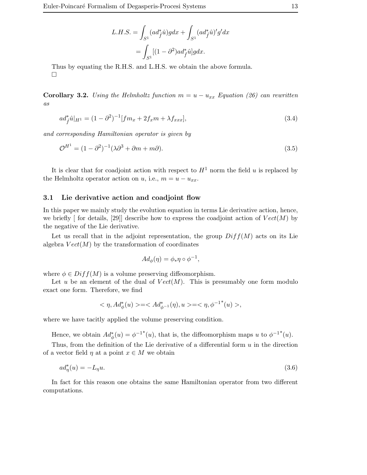$$
L.H.S. = \int_{S^1} (ad_f^*\hat{u})g dx + \int_{S^1} (ad_f^*\hat{u})'g'dx
$$

$$
= \int_{S^1} [(1-\partial^2)ad_f^*\hat{u}]g dx.
$$

Thus by equating the R.H.S. and L.H.S. we obtain the above formula.  $\Box$ 

Corollary 3.2. Using the Helmholtz function  $m = u - u_{xx}$  Equation (26) can rewritten as

$$
ad_f^*\hat{u}|_{H^1} = (1 - \partial^2)^{-1}[fm_x + 2f_xm + \lambda f_{xxx}],
$$
\n(3.4)

and corresponding Hamiltonian operator is given by

$$
\mathcal{O}^{H1} = (1 - \partial^2)^{-1} (\lambda \partial^3 + \partial m + m\partial). \tag{3.5}
$$

It is clear that for coadjoint action with respect to  $H<sup>1</sup>$  norm the field u is replaced by the Helmholtz operator action on u, i.e.,  $m = u - u_{xx}$ .

### 3.1 Lie derivative action and coadjoint flow

In this paper we mainly study the evolution equation in terms Lie derivative action, hence, we briefly  $\lceil$  for details, [29]] describe how to express the coadjoint action of  $Vect(M)$  by the negative of the Lie derivative.

Let us recall that in the adjoint representation, the group  $Diff(M)$  acts on its Lie algebra  $Vect(M)$  by the transformation of coordinates

$$
Ad_{\phi}(\eta) = \phi_* \eta \circ \phi^{-1},
$$

where  $\phi \in Diff(M)$  is a volume preserving diffeomorphism.

Let u be an element of the dual of  $Vect(M)$ . This is presumably one form modulo exact one form. Therefore, we find

$$
<\eta,Ad^*_\phi(u)> = = <\eta, \phi^{-1^*}(u)>,
$$

where we have tacitly applied the volume preserving condition.

Hence, we obtain  $Ad^*_{\phi}(u) = \phi^{-1*}(u)$ , that is, the diffeomorphism maps u to  $\phi^{-1*}(u)$ .

Thus, from the definition of the Lie derivative of a differential form  $u$  in the direction of a vector field  $\eta$  at a point  $x \in M$  we obtain

$$
ad^*_{\eta}(u) = -L_{\eta}u. \tag{3.6}
$$

In fact for this reason one obtains the same Hamiltonian operator from two different computations.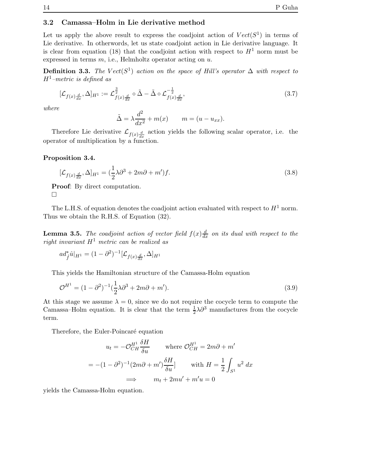### 3.2 Camassa–Holm in Lie derivative method

Let us apply the above result to express the coadjoint action of  $Vect(S^1)$  in terms of Lie derivative. In otherwords, let us state coadjoint action in Lie derivative language. It is clear from equation (18) that the coadjoint action with respect to  $H<sup>1</sup>$  norm must be expressed in terms  $m$ , i.e., Helmholtz operator acting on  $u$ .

**Definition 3.3.** The  $Vect(S^1)$  action on the space of Hill's operator  $\Delta$  with respect to  $H^1$ -metric is defined as

$$
[\mathcal{L}_{f(x)\frac{d}{dx}}, \Delta]_{H^1} := \mathcal{L}_{f(x)\frac{d}{dx}}^{\frac{3}{2}} \circ \tilde{\Delta} - \tilde{\Delta} \circ \mathcal{L}_{f(x)\frac{d}{dx}}^{-\frac{1}{2}},\tag{3.7}
$$

where

$$
\tilde{\Delta} = \lambda \frac{d^2}{dx^2} + m(x) \qquad m = (u - u_{xx}).
$$

Therefore Lie derivative  $\mathcal{L}_{f(x)\frac{d}{dx}}$  action yields the following scalar operator, i.e. the operator of multiplication by a function.

### Proposition 3.4.

$$
[\mathcal{L}_{f(x)\frac{d}{dx}}, \Delta]_{H^1} = (\frac{1}{2}\lambda\partial^3 + 2m\partial + m')f. \tag{3.8}
$$

Proof: By direct computation.  $\Box$ 

The L.H.S. of equation denotes the coadjoint action evaluated with respect to  $H^1$  norm. Thus we obtain the R.H.S. of Equation (32).

**Lemma 3.5.** The coadjoint action of vector field  $f(x) \frac{d}{dx}$  on its dual with respect to the right invariant  $H^1$  metric can be realized as

$$
ad_{\hat{f}}^*\hat{u}|_{H^1} = (1 - \partial^2)^{-1} [\mathcal{L}_{f(x)\frac{d}{dx}}, \Delta]_{H^1}
$$

This yields the Hamiltonian structure of the Camassa-Holm equation

$$
\mathcal{O}^{H^1} = (1 - \partial^2)^{-1} \left(\frac{1}{2}\lambda \partial^3 + 2m\partial + m'\right).
$$
 (3.9)

At this stage we assume  $\lambda = 0$ , since we do not require the cocycle term to compute the Camassa–Holm equation. It is clear that the term  $\frac{1}{2}\lambda\partial^3$  manufactures from the cocycle term.

Therefore, the Euler-Poincaré equation

$$
u_t = -\mathcal{O}_{CH}^{H^1} \frac{\delta H}{\delta u} \quad \text{where } \mathcal{O}_{CH}^{H^1} = 2m\partial + m'
$$

$$
= -(1 - \partial^2)^{-1} (2m\partial + m') \frac{\delta H}{\delta u} \quad \text{with } H = \frac{1}{2} \int_{S^1} u^2 dx
$$

$$
\implies m_t + 2mu' + m'u = 0
$$

yields the Camassa-Holm equation.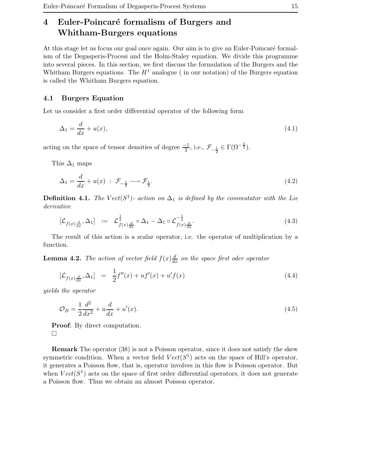# 4 Euler-Poincaré formalism of Burgers and Whitham-Burgers equations

At this stage let us focus our goal once again. Our aim is to give an Euler-Poincaré formalism of the Degasperis-Procesi and the Holm-Staley equation. We divide this programme into several pieces. In this section, we first discuss the formulation of the Burgers and the Whitham Burgers equations. The  $H^1$  analogue (in our notation) of the Burgers equation is called the Whitham Burgers equation.

### 4.1 Burgers Equation

Let us consider a first order differential operator of the following form

$$
\Delta_1 = \frac{d}{dx} + u(x),\tag{4.1}
$$

acting on the space of tensor densities of degree  $\frac{-1}{2}$ , i.e.,  $\mathcal{F}_{-\frac{1}{2}} \in \Gamma(\Omega^{-\frac{1}{2}})$ .

This  $\Delta_1$  maps

$$
\Delta_1 = \frac{d}{dx} + u(x) \; : \; \mathcal{F}_{-\frac{1}{2}} \longrightarrow \mathcal{F}_{\frac{1}{2}}.
$$
\n
$$
(4.2)
$$

**Definition 4.1.** The  $Vect(S^1)$ - action on  $\Delta_1$  is defined by the commutator with the Lie derivative

$$
[\mathcal{L}_{f(x)\frac{d}{dx}}, \Delta_1] := \mathcal{L}_{f(x)\frac{d}{dx}}^{\frac{1}{2}} \circ \Delta_1 - \Delta_1 \circ \mathcal{L}_{f(x)\frac{d}{dx}}^{-\frac{1}{2}}.
$$
\n
$$
(4.3)
$$

The result of this action is a scalar operator, i.e. the operator of multiplication by a function.

**Lemma 4.2.** The action of vector field  $f(x) \frac{d}{dx}$  on the space first oder operator

$$
[\mathcal{L}_{f(x)\frac{d}{dx}}, \Delta_1] = \frac{1}{2}f''(x) + uf'(x) + u'f(x)
$$
\n(4.4)

yields the operator

$$
\mathcal{O}_B = \frac{1}{2} \frac{d^2}{dx^2} + u \frac{d}{dx} + u'(x).
$$
\n(4.5)

Proof: By direct computation.  $\Box$ 

Remark The operator (38) is not a Poisson operator, since it does not satisfy the skew symmetric condition. When a vector field  $Vect(S^1)$  acts on the space of Hill's operator, it generates a Poisson flow, that is, operator involves in this flow is Poisson operator. But when  $Vect(S^1)$  acts on the space of first order differential operators, it does not generate a Poisson flow. Thus we obtain an almost Poisson operator.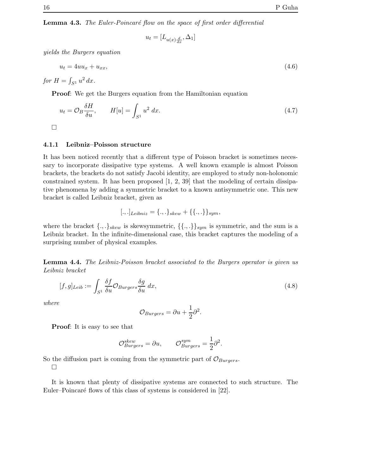**Lemma 4.3.** The Euler-Poincaré flow on the space of first order differential

$$
u_t = [L_{u(x)\frac{d}{dx}}, \Delta_1]
$$

yields the Burgers equation

$$
u_t = 4uu_x + u_{xx},\tag{4.6}
$$

for  $H = \int_{S^1} u^2 dx$ .

Proof: We get the Burgers equation from the Hamiltonian equation

$$
u_t = \mathcal{O}_B \frac{\delta H}{\delta u}, \qquad H[u] = \int_{S^1} u^2 dx. \tag{4.7}
$$

 $\Box$ 

### 4.1.1 Leibniz–Poisson structure

It has been noticed recently that a different type of Poisson bracket is sometimes necessary to incorporate dissipative type systems. A well known example is almost Poisson brackets, the brackets do not satisfy Jacobi identity, are employed to study non-holonomic constrained system. It has been proposed [1, 2, 39] that the modeling of certain dissipative phenomena by adding a symmetric bracket to a known antisymmetric one. This new bracket is called Leibniz bracket, given as

$$
[.,.]_{Leibniz} = \{.,.\}_{skew} + \{\{.,.\}\}_{sym},
$$

where the bracket  $\{.,.\}_{skew}$  is skewsymmetric,  $\{\{.,.\}\}_{sym}$  is symmetric, and the sum is a Leibniz bracket. In the infinite-dimensional case, this bracket captures the modeling of a surprising number of physical examples.

Lemma 4.4. The Leibniz-Poisson bracket associated to the Burgers operator is given us Leibniz bracket

$$
[f,g]_{Leib} := \int_{S^1} \frac{\delta f}{\delta u} \mathcal{O}_{Burgers} \frac{\delta g}{\delta u} dx,
$$
\n(4.8)

where

$$
\mathcal{O}_{Burgers} = \partial u + \frac{1}{2}\partial^2.
$$

Proof: It is easy to see that

$$
\mathcal{O}_{Burgers}^{skew} = \partial u, \qquad \mathcal{O}_{Burgers}^{sym} = \frac{1}{2} \partial^2.
$$

So the diffusion part is coming from the symmetric part of  $\mathcal{O}_{Burgers}$ .  $\Box$ 

It is known that plenty of dissipative systems are connected to such structure. The Euler–Poincaré flows of this class of systems is considered in [22].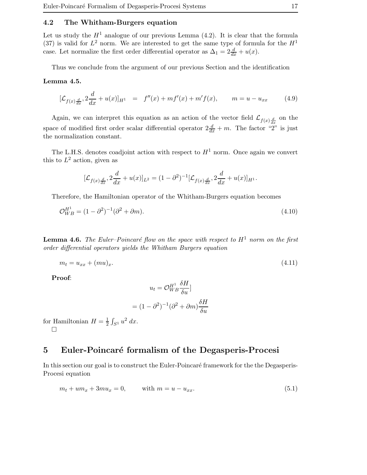### 4.2 The Whitham-Burgers equation

Let us study the  $H<sup>1</sup>$  analogue of our previous Lemma (4.2). It is clear that the formula (37) is valid for  $L^2$  norm. We are interested to get the same type of formula for the  $H^1$ case. Let normalize the first order differential operator as  $\Delta_1 = 2\frac{d}{dx} + u(x)$ .

Thus we conclude from the argument of our previous Section and the identification

### Lemma 4.5.

$$
[\mathcal{L}_{f(x)\frac{d}{dx}}, 2\frac{d}{dx} + u(x)]_{H^1} = f''(x) + mf'(x) + m'f(x), \qquad m = u - u_{xx}
$$
 (4.9)

Again, we can interpret this equation as an action of the vector field  $\mathcal{L}_{f(x)\frac{d}{dx}}$  on the space of modified first order scalar differential operator  $2\frac{d}{dx} + m$ . The factor "2" is just the normalization constant.

The L.H.S. denotes coadjoint action with respect to  $H<sup>1</sup>$  norm. Once again we convert this to  $L^2$  action, given as

$$
[\mathcal{L}_{f(x)\frac{d}{dx}}, 2\frac{d}{dx} + u(x)]_{L^2} = (1 - \partial^2)^{-1} [\mathcal{L}_{f(x)\frac{d}{dx}}, 2\frac{d}{dx} + u(x)]_{H^1}.
$$

Therefore, the Hamiltonian operator of the Whitham-Burgers equation becomes

$$
\mathcal{O}_{WB}^{H^{1}} = (1 - \partial^{2})^{-1} (\partial^{2} + \partial m). \tag{4.10}
$$

**Lemma 4.6.** The Euler-Poincaré flow on the space with respect to  $H^1$  norm on the first order differential operators yields the Whitham Burgers equation

$$
m_t = u_{xx} + (mu)_x.
$$
\n(4.11)

Proof:

$$
u_t = \mathcal{O}_{WB}^{H^1} \frac{\delta H}{\delta u}
$$

$$
= (1 - \partial^2)^{-1} (\partial^2 + \partial m) \frac{\delta H}{\delta u}
$$

for Hamiltonian  $H=\frac{1}{2}$  $rac{1}{2} \int_{S^1} u^2 \ dx.$  $\Box$ 

### 5 Euler-Poincaré formalism of the Degasperis-Procesi

In this section our goal is to construct the Euler-Poincaré framework for the the Degasperis-Procesi equation

$$
m_t + um_x + 3mu_x = 0,
$$
 with  $m = u - u_{xx}.$  (5.1)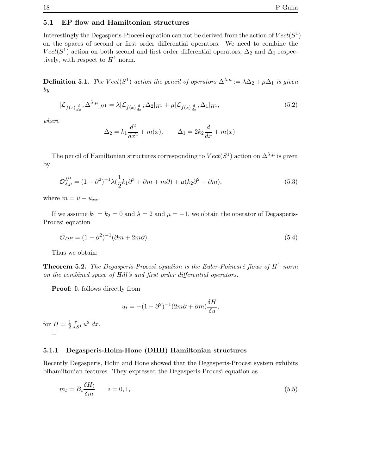### 5.1 EP flow and Hamiltonian structures

Interestingly the Degasperis-Procesi equation can not be derived from the action of  $Vect(S^1)$ on the spaces of second or first order differential operators. We need to combine the  $Vect(S<sup>1</sup>)$  action on both second and first order differential operators,  $\Delta_2$  and  $\Delta_1$  respectively, with respect to  $H^1$  norm.

**Definition 5.1.** The  $Vect(S^1)$  action the pencil of operators  $\Delta^{\lambda,\mu} := \lambda \Delta_2 + \mu \Delta_1$  is given by

$$
[\mathcal{L}_{f(x)\frac{d}{dx}}, \Delta^{\lambda,\mu}]_{H^1} = \lambda [\mathcal{L}_{f(x)\frac{d}{dx}}, \Delta_2]_{H^1} + \mu [\mathcal{L}_{f(x)\frac{d}{dx}}, \Delta_1]_{H^1},
$$
\n(5.2)

where

$$
\Delta_2 = k_1 \frac{d^2}{dx^2} + m(x), \qquad \Delta_1 = 2k_2 \frac{d}{dx} + m(x).
$$

The pencil of Hamiltonian structures corresponding to  $Vect(S^1)$  action on  $\Delta^{\lambda,\mu}$  is given by

$$
\mathcal{O}_{\lambda,\mu}^{H^1} = (1 - \partial^2)^{-1} \lambda \left(\frac{1}{2}k_1 \partial^3 + \partial m + m\partial\right) + \mu (k_2 \partial^2 + \partial m),\tag{5.3}
$$

where  $m = u - u_{xx}$ .

If we assume  $k_1 = k_2 = 0$  and  $\lambda = 2$  and  $\mu = -1$ , we obtain the operator of Degasperis-Procesi equation

$$
\mathcal{O}_{DP} = (1 - \partial^2)^{-1} (\partial m + 2m\partial). \tag{5.4}
$$

Thus we obtain:

**Theorem 5.2.** The Degasperis-Procesi equation is the Euler-Poincaré flows of  $H^1$  norm on the combined space of Hill's and first order differential operators.

Proof: It follows directly from

$$
u_t = -(1 - \partial^2)^{-1} (2m\partial + \partial m) \frac{\delta H}{\delta u},
$$

for  $H=\frac{1}{2}$  $rac{1}{2} \int_{S^1} u^2 \ dx.$  $\Box$ 

### 5.1.1 Degasperis-Holm-Hone (DHH) Hamiltonian structures

Recently Degasperis, Holm and Hone showed that the Degasperis-Procesi system exhibits bihamiltonian features. They expressed the Degasperis-Procesi equation as

$$
m_t = B_i \frac{\delta H_i}{\delta m} \qquad i = 0, 1,
$$
\n
$$
(5.5)
$$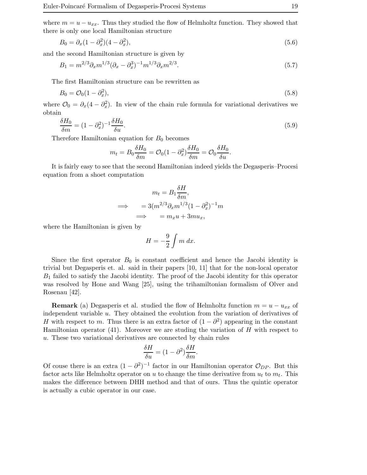where  $m = u - u_{xx}$ . Thus they studied the flow of Helmholtz function. They showed that there is only one local Hamiltonian structure

$$
B_0 = \partial_x (1 - \partial_x^2)(4 - \partial_x^2),\tag{5.6}
$$

and the second Hamiltonian structure is given by

$$
B_1 = m^{2/3} \partial_x m^{1/3} (\partial_x - \partial_x^3)^{-1} m^{1/3} \partial_x m^{2/3}.
$$
\n(5.7)

The first Hamiltonian structure can be rewritten as

$$
B_0 = \mathcal{O}_0(1 - \partial_x^2),\tag{5.8}
$$

where  $\mathcal{O}_0 = \partial_x (4 - \partial_x^2)$ . In view of the chain rule formula for variational derivatives we obtain

$$
\frac{\delta H_0}{\delta m} = (1 - \partial_x^2)^{-1} \frac{\delta H_0}{\delta u}.\tag{5.9}
$$

Therefore Hamiltonian equation for  $B_0$  becomes

$$
m_t = B_0 \frac{\delta H_0}{\delta m} = \mathcal{O}_0 (1 - \partial_x^2) \frac{\delta H_0}{\delta m} = \mathcal{O}_0 \frac{\delta H_0}{\delta u}.
$$

It is fairly easy to see that the second Hamiltonian indeed yields the Degasperis–Procesi equation from a shoet computation

$$
m_t = B_1 \frac{\delta H}{\delta m},
$$
  

$$
\implies \qquad = 3(m^{2/3} \partial_x m^{1/3} (1 - \partial_x^2)^{-1} m
$$
  

$$
\implies \qquad = m_x u + 3m u_x,
$$

where the Hamiltonian is given by

$$
H = -\frac{9}{2} \int m \, dx.
$$

Since the first operator  $B_0$  is constant coefficient and hence the Jacobi identity is trivial but Degasperis et. al. said in their papers [10, 11] that for the non-local operator  $B_1$  failed to satisfy the Jacobi identity. The proof of the Jacobi identity for this operator was resolved by Hone and Wang [25], using the trihamiltonian formalism of Olver and Rosenau [42].

**Remark** (a) Degasperis et al. studied the flow of Helmholtz function  $m = u - u_{xx}$  of independent variable u. They obtained the evolution from the variation of derivatives of H with respect to m. Thus there is an extra factor of  $(1 - \partial^2)$  appearing in the constant Hamiltonian operator  $(41)$ . Moreover we are studing the variation of H with respect to u. These two variational derivatives are connected by chain rules

$$
\frac{\delta H}{\delta u}=(1-\partial^2)\frac{\delta H}{\delta m}.
$$

Of couse there is an extra  $(1 - \partial^2)^{-1}$  factor in our Hamiltonian operator  $\mathcal{O}_{DP}$ . But this factor acts like Helmholtz operator on u to change the time derivative from  $u_t$  to  $m_t$ . This makes the difference between DHH method and that of ours. Thus the quintic operator is actually a cubic operator in our case.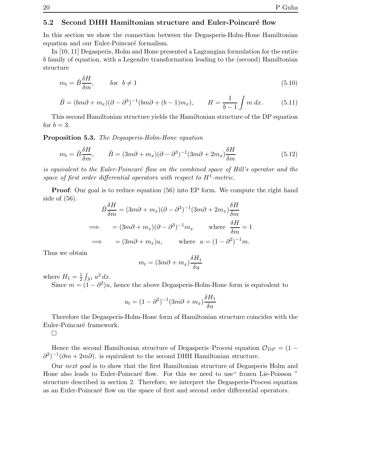### 5.2 Second DHH Hamiltonian structure and Euler-Poincaré flow

In this section we show the connection between the Degasperis-Holm-Hone Hamiltonian equation and our Euler-Poincaré formalism.

In [10, 11] Degasperis, Holm and Hone presented a Lagrangian formulation for the entire b family of equation, with a Legendre transformation leading to the (second) Hamiltonian structure

$$
m_t = \hat{B}\frac{\delta H}{\delta m}, \qquad \text{for} \ \ b \neq 1 \tag{5.10}
$$

$$
\hat{B} = (bm\partial + m_x)(\partial - \partial^3)^{-1}(bm\partial + (b-1)m_x), \qquad H = \frac{1}{b-1} \int m \, dx. \tag{5.11}
$$

This second Hamiltonian structure yields the Hamiltonian structure of the DP equation for  $b = 3$ .

Proposition 5.3. The Degasperis-Holm-Hone equation

$$
m_t = \hat{B}\frac{\delta H}{\delta m}, \qquad \hat{B} = (3m\partial + m_x)(\partial - \partial^3)^{-1}(3m\partial + 2m_x)\frac{\delta H}{\delta m}
$$
(5.12)

is equivalent to the Euler-Poincaré flow on the combined space of Hill's operator and the space of first order differential operators with respect to  $H^1$ -metric.

Proof: Our goal is to reduce equation (56) into EP form. We compute the right hand side of (56).

$$
\hat{B}\frac{\delta H}{\delta m} = (3m\partial + m_x)(\partial - \partial^3)^{-1}(3m\partial + 2m_x)\frac{\delta H}{\delta m}
$$
  
\n
$$
\implies = (3m\partial + m_x)(\partial - \partial^3)^{-1}m_x \quad \text{where } \frac{\delta H}{\delta m} = 1
$$
  
\n
$$
\implies = (3m\partial + m_x)u, \quad \text{where } u = (1 - \partial^2)^{-1}m.
$$

Thus we obtain

$$
m_t = (3m\partial + m_x) \frac{\delta H_1}{\delta u}
$$

where  $H_1 = \frac{1}{2}$  $rac{1}{2} \int_{S^1} u^2 dx.$ 

Since  $m = (1 - \partial^2)u$ , hence the above Degasperis-Holm-Hone form is equivalent to

$$
u_t = (1 - \partial^2)^{-1} (3m\partial + m_x) \frac{\delta H_1}{\delta u}
$$

Therefore the Degasperis-Holm-Hone form of Hamiltonian structure coincides with the Euler-Poincaré framework.

 $\Box$ 

Hence the second Hamiltonian structure of Degasperis–Procesi equation  $\mathcal{O}_{DP} = (1 \partial^2$ <sup>-1</sup>( $\partial m + 2m\partial$ ). is equivalent to the second DHH Hamiltonian structure.

Our next goal is to show that the first Hamiltonian structure of Degasperis Holm and Hone also leads to Euler-Poincaré flow. For this we need to use "frozen Lie-Poisson" structure described in section 2. Therefore, we interpret the Degasperis-Procesi equation as an Euler-Poincaré flow on the space of first and second order differential operators.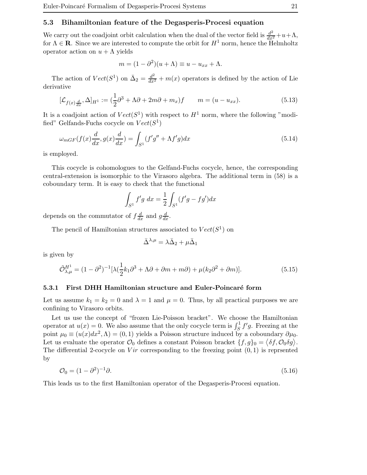### 5.3 Bihamiltonian feature of the Degasperis-Procesi equation

We carry out the coadjoint orbit calculation when the dual of the vector field is  $\frac{d^2}{dx^2} + u + \Lambda$ , for  $\Lambda \in \mathbb{R}$ . Since we are interested to compute the orbit for  $H^1$  norm, hence the Helmholtz operator action on  $u + \Lambda$  yields

$$
m = (1 - \partial^2)(u + \Lambda) \equiv u - u_{xx} + \Lambda.
$$

The action of  $Vect(S^1)$  on  $\bar{\Delta}_2 = \frac{d^2}{dx^2} + m(x)$  operators is defined by the action of Lie derivative

$$
[\mathcal{L}_{f(x)\frac{d}{dx}}, \Delta]_{H^1} := \left(\frac{1}{2}\partial^3 + \Lambda\partial + 2m\partial + m_x\right)f \qquad m = (u - u_{xx}).
$$
\n(5.13)

It is a coadjoint action of  $Vect(S^1)$  with respect to  $H^1$  norm, where the following "modified" Gelfands-Fuchs cocycle on  $Vect(S^1)$ 

$$
\omega_{mGF}(f(x)\frac{d}{dx}, g(x)\frac{d}{dx}) = \int_{S^1} (f'g'' + \Lambda f'g)dx\tag{5.14}
$$

is employed.

This cocycle is cohomologues to the Gelfand-Fuchs cocycle, hence, the corresponding central-extension is isomorphic to the Virasoro algebra. The additional term in (58) is a coboundary term. It is easy to check that the functional

$$
\int_{S^1} f'g \ dx = \frac{1}{2} \int_{S^1} (f'g - fg') dx
$$

depends on the commutator of  $f \frac{d}{dx}$  and  $g \frac{d}{dx}$ .

The pencil of Hamiltonian structures associated to  $Vect(S^1)$  on

$$
\bar{\Delta}^{\lambda,\mu} = \lambda \bar{\Delta}_2 + \mu \bar{\Delta}_1
$$

is given by

$$
\tilde{\mathcal{O}}_{\lambda,\mu}^{H^1} = (1 - \partial^2)^{-1} [\lambda (\frac{1}{2}k_1 \partial^3 + \Lambda \partial + \partial m + m \partial) + \mu (k_2 \partial^2 + \partial m)]. \tag{5.15}
$$

#### 5.3.1 First DHH Hamiltonian structure and Euler-Poincaré form

Let us assume  $k_1 = k_2 = 0$  and  $\lambda = 1$  and  $\mu = 0$ . Thus, by all practical purposes we are confining to Virasoro orbits.

Let us use the concept of "frozen Lie-Poisson bracket". We choose the Hamiltonian operator at  $u(x) = 0$ . We also assume that the only cocycle term is  $\int_S^1 f' g$ . Freezing at the point  $\mu_0 \equiv (u(x)dx^2, \Lambda) = (0, 1)$  yields a Poisson structure induced by a coboundary  $\partial \mu_0$ . Let us evaluate the operator  $\mathcal{O}_0$  defines a constant Poisson bracket  $\{f, g\}_0 = \langle \delta f, \mathcal{O}_0 \delta g \rangle$ . The differential 2-cocycle on Vir corresponding to the freezing point  $(0, 1)$  is reprsented by

$$
\mathcal{O}_0 = (1 - \partial^2)^{-1} \partial. \tag{5.16}
$$

This leads us to the first Hamiltonian operator of the Degasperis-Procesi equation.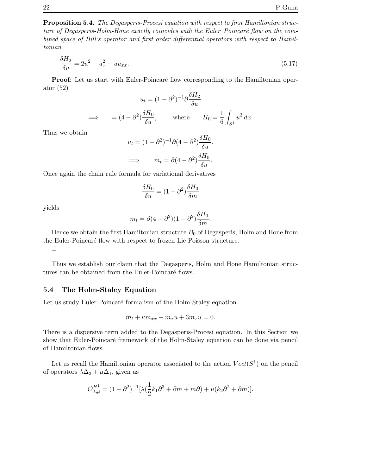Proposition 5.4. The Degasperis-Procesi equation with respect to first Hamiltonian structure of Degasperis-Holm-Hone exactly coincides with the Euler-Poincaré flow on the combined space of Hill's operator and first order differential operators with respect to Hamiltonian

$$
\frac{\delta H_2}{\delta u} = 2u^2 - u_x^2 - uu_{xx}.\tag{5.17}
$$

**Proof:** Let us start with Euler-Poincaré flow corresponding to the Hamiltonian operator (52)

$$
u_t = (1 - \partial^2)^{-1} \partial \frac{\delta H_2}{\delta u}
$$
  
\n
$$
\implies \qquad = (4 - \partial^2) \frac{\delta H_0}{\delta u}, \qquad \text{where} \qquad H_0 = \frac{1}{6} \int_{S^1} u^3 dx.
$$

Thus we obtain

$$
u_t = (1 - \partial^2)^{-1} \partial (4 - \partial^2) \frac{\delta H_0}{\delta u}.
$$
  

$$
\implies \qquad m_t = \partial (4 - \partial^2) \frac{\delta H_0}{\delta u}.
$$

Once again the chain rule formula for variational derivatives

$$
\frac{\delta H_0}{\delta u} = (1 - \partial^2) \frac{\delta H_0}{\delta m}
$$

yields

$$
m_t = \partial (4 - \partial^2)(1 - \partial^2)\frac{\delta H_0}{\delta m}.
$$

Hence we obtain the first Hamiltonian structure  $B_0$  of Degasperis, Holm and Hone from the Euler-Poincaré flow with respect to frozen Lie Poisson structure.

 $\Box$ 

Thus we establish our claim that the Degasperis, Holm and Hone Hamiltonian structures can be obtained from the Euler-Poincaré flows.

### 5.4 The Holm-Staley Equation

Let us study Euler-Poincaré formalism of the Holm-Staley equation

$$
m_t + \kappa m_{xx} + m_x u + 3m_x u = 0.
$$

There is a dispersive term added to the Degasperis-Procesi equation. In this Section we show that Euler-Poincaré framework of the Holm-Staley equation can be done via pencil of Hamiltonian flows.

Let us recall the Hamiltonian operator associated to the action  $Vect(S^1)$  on the pencil of operators  $\lambda \Delta_2 + \mu \Delta_1$ , given as

$$
\mathcal{O}_{\lambda,\mu}^{H^1} = (1 - \partial^2)^{-1} [\lambda (\frac{1}{2}k_1 \partial^3 + \partial m + m\partial) + \mu (k_2 \partial^2 + \partial m)].
$$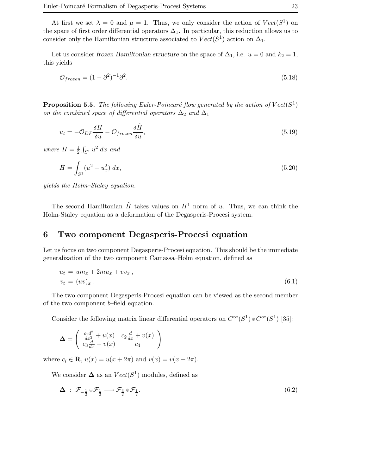At first we set  $\lambda = 0$  and  $\mu = 1$ . Thus, we only consider the action of  $Vect(S^1)$  on the space of first order differential operators  $\Delta_1$ . In particular, this reduction allows us to consider only the Hamiltonian structure associated to  $Vect(S^1)$  action on  $\Delta_1$ .

Let us consider frozen Hamiltonian structure on the space of  $\Delta_1$ , i.e.  $u = 0$  and  $k_2 = 1$ , this yields

$$
\mathcal{O}_{frozen} = (1 - \partial^2)^{-1} \partial^2. \tag{5.18}
$$

**Proposition 5.5.** The following Euler-Poincaré flow generated by the action of  $Vect(S^1)$ on the combined space of differential operators  $\Delta_2$  and  $\Delta_1$ 

$$
u_t = -\mathcal{O}_{DP}\frac{\delta H}{\delta u} - \mathcal{O}_{frozen}\frac{\delta \tilde{H}}{\delta u},\tag{5.19}
$$

where  $H=\frac{1}{2}$  $\frac{1}{2} \int_{S^1} u^2 dx$  and

$$
\tilde{H} = \int_{S^1} (u^2 + u_x^2) \, dx,\tag{5.20}
$$

yields the Holm–Staley equation.

The second Hamiltonian  $\tilde{H}$  takes values on  $H^1$  norm of u. Thus, we can think the Holm-Staley equation as a deformation of the Degasperis-Procesi system.

# 6 Two component Degasperis-Procesi equation

Let us focus on two component Degasperis-Procesi equation. This should be the immediate generalization of the two component Camassa–Holm equation, defined as

$$
u_t = um_x + 2mu_x + vv_x,
$$
  
\n
$$
v_t = (uv)_x.
$$
\n(6.1)

The two component Degasperis-Procesi equation can be viewed as the second member of the two component b–field equation.

Consider the following matrix linear differential operators on  $C^{\infty}(S^1) \oplus C^{\infty}(S^1)$  [35]:

$$
\Delta = \begin{pmatrix} \frac{c_1 d^2}{dx^2} + u(x) & c_2 \frac{d}{dx} + v(x) \\ c_3 \frac{d}{dx} + v(x) & c_4 \end{pmatrix}
$$

where  $c_i \in \mathbf{R}$ ,  $u(x) = u(x + 2\pi)$  and  $v(x) = v(x + 2\pi)$ .

We consider  $\Delta$  as an  $Vect(S^1)$  modules, defined as

$$
\Delta : \mathcal{F}_{-\frac{1}{2}} \oplus \mathcal{F}_{\frac{1}{2}} \longrightarrow \mathcal{F}_{\frac{3}{2}} \oplus \mathcal{F}_{\frac{1}{2}}.
$$
\n
$$
(6.2)
$$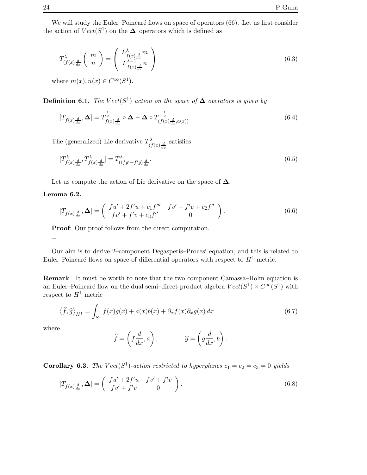We will study the Euler–Poincaré flows on space of operators  $(66)$ . Let us first consider the action of  $Vect(S^1)$  on the  $\Delta$ –operators which is defined as

$$
T_{(f(x)\frac{d}{dx}}^{\lambda} \left( m \atop n \right) = \left( L_{f(x)\frac{d}{dx}}^{\lambda} m \atop L_{f(x)\frac{d}{dx}}^{\lambda-1} n \right)
$$
(6.3)

where  $m(x), n(x) \in C^{\infty}(S^1)$ .

**Definition 6.1.** The  $Vect(S^1)$  action on the space of  $\Delta$  operators is given by

$$
[T_{f(x)\frac{d}{dx}}, \Delta] = T_{f(x)\frac{d}{dx}}^{\frac{1}{2}} \circ \Delta - \Delta \circ T_{(f(x)\frac{d}{dx}, a(x))}^{-\frac{1}{2}}.
$$
\n
$$
(6.4)
$$

The (generalized) Lie derivative  $T_{\alpha}^{\lambda}$  $\int_{(f(x)\frac{d}{dx}}^{\infty}$  satisfies

$$
[T_{f(x)\frac{d}{dx}}^{\lambda}, T_{f(x)\frac{d}{dx}}^{\lambda}] = T_{((fg'-f'g)\frac{d}{dx}}^{\lambda}.
$$
\n(6.5)

Let us compute the action of Lie derivative on the space of  $\Delta$ .

### Lemma 6.2.

$$
[T_{f(x)\frac{d}{dx}}, \Delta] = \begin{pmatrix} fu' + 2f'u + c_1f''' & fv' + f'v + c_2f'' \\ fv' + f'v + c_3f'' & 0 \end{pmatrix}.
$$
 (6.6)

Proof: Our proof follows from the direct computation.  $\Box$ 

Our aim is to derive 2–component Degasperis–Procesi equation, and this is related to Euler–Poincaré flows on space of differential operators with respect to  $H^1$  metric.

Remark It must be worth to note that the two component Camassa–Holm equation is an Euler–Poincaré flow on the dual semi–direct product algebra  $Vect(S^1) \ltimes C^{\infty}(S^1)$  with respect to  $H^1$  metric

$$
\langle \hat{f}, \hat{g} \rangle_{H^1} = \int_{S^1} f(x)g(x) + a(x)b(x) + \partial_x f(x)\partial_x g(x) dx \tag{6.7}
$$

where

$$
\widehat{f} = \left(f\frac{d}{dx}, a\right), \qquad \widehat{g} = \left(g\frac{d}{dx}, b\right).
$$

**Corollary 6.3.** The Vect(S<sup>1</sup>)-action restricted to hyperplanes  $c_1 = c_2 = c_3 = 0$  yields

$$
[T_{f(x)\frac{d}{dx}}, \Delta] = \begin{pmatrix} fu' + 2f'u & fv' + f'v \\ fv' + f'v & 0 \end{pmatrix}.
$$
 (6.8)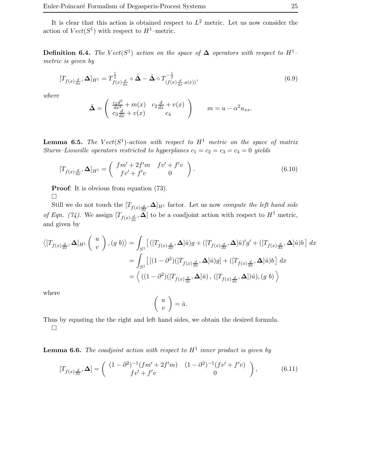It is clear that this action is obtained respect to  $L^2$  metric. Let us now consider the action of  $Vect(S^1)$  with respect to  $H^1$ -metric.

**Definition 6.4.** The Vect(S<sup>1</sup>) action on the space of  $\Delta$  operators with respect to H<sup>1</sup>metric is given by

$$
[T_{f(x)\frac{d}{dx}}, \Delta]_{H^1} = T^{\frac{1}{2}}_{f(x)\frac{d}{dx}} \circ \tilde{\Delta} - \tilde{\Delta} \circ T^{-\frac{1}{2}}_{(f(x)\frac{d}{dx}, a(x))},
$$
(6.9)

where

$$
\tilde{\mathbf{\Delta}} = \begin{pmatrix} \frac{c_1 d^2}{dx^2} + m(x) & c_2 \frac{d}{dx} + v(x) \\ c_3 \frac{d}{dx} + v(x) & c_4 \end{pmatrix} \qquad m = u - \alpha^2 u_{xx}.
$$

**Lemma 6.5.** The  $Vect(S^1)$ -action with respect to  $H^1$  metric on the space of matrix Sturm–Liouville operators restricted to hyperplanes  $c_1 = c_2 = c_3 = c_4 = 0$  yields

$$
[T_{f(x)\frac{d}{dx}}, \Delta]_{H^1} = \begin{pmatrix} fm' + 2f'm & fv' + f'v \\ fv' + f'v & 0 \end{pmatrix}.
$$
 (6.10)

Proof: It is obvious from equation (73).

 $\Box$ 

Still we do not touch the  $[T_{f(x),\frac{d}{dx}},\Delta]_{H^1}$  factor. Let us now *compute the left hand side* of Eqn. (74). We assign  $[T_{f(x)\frac{d}{dx}}, \Delta]$  to be a coadjoint action with respect to  $H^1$  metric, and given by

$$
\langle [T_{f(x)\frac{d}{dx}}, \Delta]_{H^1} \begin{pmatrix} u \\ v \end{pmatrix}, (g \ b) \rangle = \int_{S^1} \left[ \left( [T_{f(x)\frac{d}{dx}}, \Delta] \hat{u} \right) g + \left( [T_{f(x)\frac{d}{dx}}, \Delta] \hat{u} \right)' g' + \left( [T_{f(x)\frac{d}{dx}}, \Delta] \hat{u} \right) b \right] dx
$$
  

$$
= \int_{S^1} \left[ \left[ (1 - \partial^2) \left( [T_{f(x)\frac{d}{dx}}, \Delta] \hat{u} \right) g \right] + \left( [T_{f(x)\frac{d}{dx}}, \Delta] \hat{u} \right) b \right] dx
$$
  

$$
= \left\langle \left( (1 - \partial^2) \left( [T_{f(x)\frac{d}{dx}}, \Delta] \hat{u} \right), \left( [T_{f(x)\frac{d}{dx}}, \Delta] \right) \hat{u} \right), (g \ b) \right\rangle
$$

where

$$
\left(\begin{array}{c} u \\ v \end{array}\right) = \hat{u}.
$$

Thus by equating the the right and left hand sides, we obtain the desired formula.  $\Box$ 

**Lemma 6.6.** The coadjoint action with respect to  $H^1$  inner product is given by

$$
[T_{f(x)\frac{d}{dx}}, \Delta] = \begin{pmatrix} (1-\partial^2)^{-1}(fm' + 2f'm) & (1-\partial^2)^{-1}(fv' + f'v) \\ fv' + f'v & 0 \end{pmatrix},
$$
(6.11)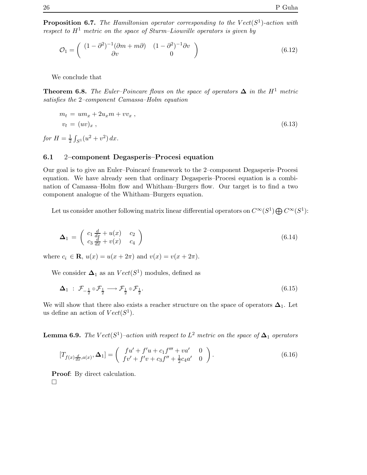**Proposition 6.7.** The Hamiltonian operator corresponding to the  $Vect(S^1)$ -action with respect to  $H^1$  metric on the space of Sturm–Liouville operators is given by

$$
\mathcal{O}_1 = \begin{pmatrix} (1 - \partial^2)^{-1} (\partial m + m\partial) & (1 - \partial^2)^{-1} \partial v \\ \partial v & 0 \end{pmatrix}
$$
(6.12)

We conclude that

**Theorem 6.8.** The Euler–Poincare flows on the space of operators  $\Delta$  in the H<sup>1</sup> metric satisfies the 2–component Camassa–Holm equation

$$
m_t = um_x + 2u_x m + v v_x ,
$$
  
\n
$$
v_t = (uv)_x ,
$$
\n(6.13)

for  $H=\frac{1}{2}$  $\frac{1}{2} \int_{S^1} (u^2 + v^2) \, dx.$ 

### 6.1 2–component Degasperis–Procesi equation

Our goal is to give an Euler–Poincaré framework to the 2–component Degasperis–Procesi equation. We have already seen that ordinary Degasperis–Procesi equation is a combination of Camassa–Holm flow and Whitham–Burgers flow. Our target is to find a two component analogue of the Whitham–Burgers equation.

Let us consider another following matrix linear differential operators on  $C^{\infty}(S^1) \bigoplus C^{\infty}(S^1)$ :

$$
\Delta_1 = \begin{pmatrix} c_1 \frac{d}{dx} + u(x) & c_2 \\ c_3 \frac{d}{dx} + v(x) & c_4 \end{pmatrix}
$$
 (6.14)

where  $c_i \in \mathbf{R}$ ,  $u(x) = u(x + 2\pi)$  and  $v(x) = v(x + 2\pi)$ .

We consider  $\Delta_1$  as an  $Vect(S^1)$  modules, defined as

$$
\Delta_1 : \mathcal{F}_{-\frac{1}{2}} \oplus \mathcal{F}_{\frac{1}{2}} \longrightarrow \mathcal{F}_{\frac{1}{2}} \oplus \mathcal{F}_{\frac{1}{2}}.
$$
\n
$$
(6.15)
$$

We will show that there also exists a reacher structure on the space of operators  $\Delta_1$ . Let us define an action of  $Vect(S^1)$ .

**Lemma 6.9.** The  $Vect(S^1)$ -action with respect to  $L^2$  metric on the space of  $\Delta_1$  operators

$$
[T_{f(x)\frac{d}{dx},a(x)},\Delta_1] = \begin{pmatrix} fu' + f'u + c_1f''' + va' & 0\\ fv' + f'v + c_3f'' + \frac{1}{2}c_4a' & 0 \end{pmatrix}.
$$
 (6.16)

Proof: By direct calculation.  $\Box$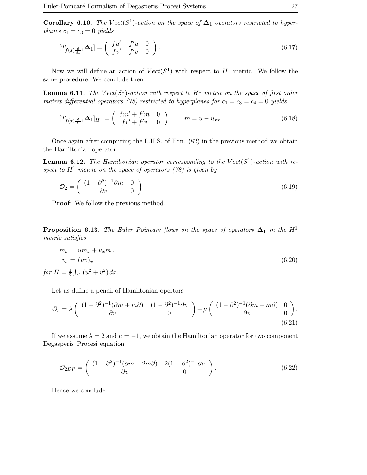**Corollary 6.10.** The  $Vect(S^1)$ -action on the space of  $\Delta_1$  operators restricted to hyperplanes  $c_1 = c_3 = 0$  yields

$$
[T_{f(x)\frac{d}{dx}}, \Delta_1] = \begin{pmatrix} fu' + f'u & 0\\ fv' + f'v & 0 \end{pmatrix}.
$$
 (6.17)

Now we will define an action of  $Vect(S^1)$  with respect to  $H^1$  metric. We follow the same procedure. We conclude then

**Lemma 6.11.** The  $Vect(S^1)$ -action with respect to  $H^1$  metric on the space of first order matrix differential operators (78) restricted to hyperplanes for  $c_1 = c_3 = c_4 = 0$  yields

$$
[T_{f(x)\frac{d}{dx}}, \Delta_1]_{H^1} = \begin{pmatrix} fm' + f'm & 0\\ fv' + f'v & 0 \end{pmatrix} \qquad m = u - u_{xx}.
$$
 (6.18)

Once again after computing the L.H.S. of Eqn. (82) in the previous method we obtain the Hamiltonian operator.

**Lemma 6.12.** The Hamiltonian operator corresponding to the  $Vect(S^1)$ -action with respect to  $H^1$  metric on the space of operators (78) is given by

$$
\mathcal{O}_2 = \left( \begin{array}{cc} (1 - \partial^2)^{-1} \partial m & 0 \\ \partial v & 0 \end{array} \right) \tag{6.19}
$$

Proof: We follow the previous method.  $\Box$ 

**Proposition 6.13.** The Euler–Poincare flows on the space of operators  $\Delta_1$  in the H<sup>1</sup> metric satisfies

$$
m_t = um_x + u_x m,
$$
  
\n
$$
v_t = (uv)_x,
$$
  
\nfor  $H = \frac{1}{2} \int_{S^1} (u^2 + v^2) dx.$ \n
$$
(6.20)
$$

Let us define a pencil of Hamiltonian opertors

$$
\mathcal{O}_3 = \lambda \begin{pmatrix} (1 - \partial^2)^{-1} (\partial m + m\partial) & (1 - \partial^2)^{-1} \partial v \\ \partial v & 0 \end{pmatrix} + \mu \begin{pmatrix} (1 - \partial^2)^{-1} (\partial m + m\partial) & 0 \\ \partial v & 0 \end{pmatrix}.
$$
\n(6.21)

If we assume  $\lambda = 2$  and  $\mu = -1$ , we obtain the Hamiltonian operator for two component Degasperis–Procesi equation

$$
\mathcal{O}_{2DP} = \begin{pmatrix} (1 - \partial^2)^{-1} (\partial m + 2m\partial) & 2(1 - \partial^2)^{-1} \partial v \\ \partial v & 0 \end{pmatrix}.
$$
 (6.22)

Hence we conclude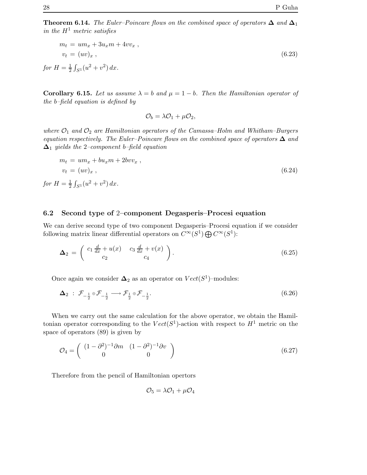Theorem 6.14. The Euler–Poincare flows on the combined space of operators  $\Delta$  and  $\Delta_1$ in the  $H^1$  metric satisfies

$$
m_t = um_x + 3u_x m + 4vv_x ,
$$
  
\n
$$
v_t = (uv)_x ,
$$
  
\nfor  $H = \frac{1}{2} \int_{S^1} (u^2 + v^2) dx.$  (6.23)

Corollary 6.15. Let us assume  $\lambda = b$  and  $\mu = 1 - b$ . Then the Hamiltonian operator of the b–field equation is defined by

$$
\mathcal{O}_b = \lambda \mathcal{O}_1 + \mu \mathcal{O}_2,
$$

where  $\mathcal{O}_1$  and  $\mathcal{O}_2$  are Hamiltonian operators of the Camassa–Holm and Whitham–Burgers equation respectively. The Euler–Poincare flows on the combined space of operators  $\Delta$  and  $\Delta_1$  yields the 2–component b–field equation

$$
m_t = um_x + bu_x m + 2bvv_x ,
$$
  
\n
$$
v_t = (uv)_x ,
$$
  
\nfor  $H = \frac{1}{2} \int_{S^1} (u^2 + v^2) dx.$  (6.24)

### 6.2 Second type of 2–component Degasperis–Procesi equation

We can derive second type of two component Degasperis–Procesi equation if we consider following matrix linear differential operators on  $C^{\infty}(S^1) \bigoplus C^{\infty}(S^1)$ :

$$
\Delta_2 = \begin{pmatrix} c_1 \frac{d}{dx} + u(x) & c_3 \frac{d}{dx} + v(x) \\ c_2 & c_4 \end{pmatrix}.
$$
 (6.25)

Once again we consider  $\Delta_2$  as an operator on  $Vect(S^1)$ -modules:

$$
\Delta_2 : \mathcal{F}_{-\frac{1}{2}} \oplus \mathcal{F}_{-\frac{1}{2}} \longrightarrow \mathcal{F}_{\frac{1}{2}} \oplus \mathcal{F}_{-\frac{1}{2}}.
$$
\n
$$
(6.26)
$$

When we carry out the same calculation for the above operator, we obtain the Hamiltonian operator corresponding to the  $Vect(S^1)$ -action with respect to  $H^1$  metric on the space of operators (89) is given by

$$
\mathcal{O}_4 = \left(\begin{array}{cc} (1 - \partial^2)^{-1} \partial m & (1 - \partial^2)^{-1} \partial v \\ 0 & 0 \end{array}\right) \tag{6.27}
$$

Therefore from the pencil of Hamiltonian opertors

 $\mathcal{O}_5 = \lambda \mathcal{O}_1 + \mu \mathcal{O}_4$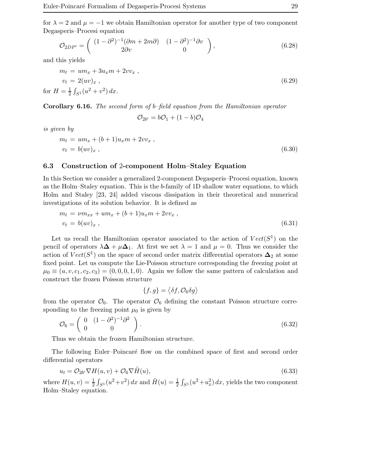for  $\lambda = 2$  and  $\mu = -1$  we obtain Hamiltonian operator for another type of two component Degasperis–Procesi equation

$$
\mathcal{O}_{2DP'} = \begin{pmatrix} (1 - \partial^2)^{-1} (\partial m + 2m\partial) & (1 - \partial^2)^{-1} \partial v \\ 2\partial v & 0 \end{pmatrix},
$$
\n(6.28)

and this yields

$$
m_t = um_x + 3u_x m + 2vv_x ,
$$
  
\n
$$
v_t = 2(uv)_x ,
$$
  
\nfor  $H = \frac{1}{2} \int_{S^1} (u^2 + v^2) dx.$  (6.29)

Corollary 6.16. The second form of b–field equation from the Hamiltonian operator

$$
\mathcal{O}_{2b'}=b\mathcal{O}_1+(1-b)\mathcal{O}_4
$$

is given by

$$
m_t = um_x + (b+1)u_x m + 2vv_x ,\n v_t = b(uv)_x ,
$$
\n(6.30)

### 6.3 Construction of 2-component Holm–Staley Equation

In this Section we consider a generalized 2-component Degasperis–Procesi equation, known as the Holm–Staley equation. This is the b-family of 1D shallow water equations, to which Holm and Staley [23, 24] added viscous dissipation in their theoretical and numerical investigations of its solution behavior. It is defined as

$$
m_t = \nu m_{xx} + u m_x + (b+1)u_x m + 2vv_x ,
$$
  
\n
$$
v_t = b(uv)_x ,
$$
\n(6.31)

Let us recall the Hamiltonian operator associated to the action of  $Vect(S^1)$  on the pencil of operators  $\lambda \Delta + \mu \Delta_1$ . At first we set  $\lambda = 1$  and  $\mu = 0$ . Thus we consider the action of  $Vect(S^1)$  on the space of second order matrix differential operators  $\Delta_2$  at some fixed point. Let us compute the Lie-Poisson structure corresponding the freezing point at  $\mu_0 \equiv (u, v, c_1, c_2, c_3) = (0, 0, 0, 1, 0)$ . Again we follow the same pattern of calculation and construct the frozen Poisson structure

$$
\{f,g\} = \langle \delta f, \mathcal{O}_6 \delta g \rangle
$$

from the operator  $\mathcal{O}_6$ . The operator  $\mathcal{O}_6$  defining the constant Poisson structure corresponding to the freezing point  $\mu_0$  is given by

$$
\mathcal{O}_6 = \left(\begin{array}{cc} 0 & (1 - \partial^2)^{-1} \partial^2 \\ 0 & 0 \end{array}\right). \tag{6.32}
$$

Thus we obtain the frozen Hamiltonian structure.

The following Euler–Poincaré flow on the combined space of first and second order differential operators

$$
u_t = \mathcal{O}_{2b'} \nabla H(u, v) + \mathcal{O}_6 \nabla \tilde{H}(u),\tag{6.33}
$$

where  $H(u, v) = \frac{1}{2} \int_{S^1} (u^2 + v^2) dx$  and  $\tilde{H}(u) = \frac{1}{2} \int_{S^1} (u^2 + u_x^2) dx$ , yields the two component Holm–Staley equation.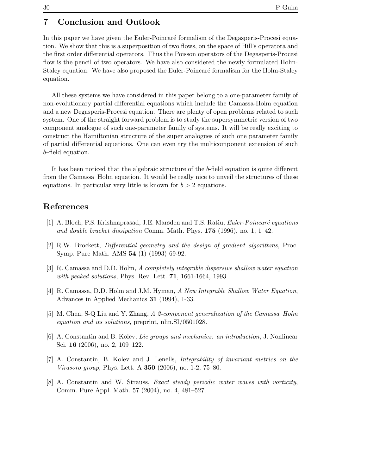In this paper we have given the Euler-Poincaré formalism of the Degasperis-Procesi equation. We show that this is a superposition of two flows, on the space of Hill's operatora and the first order differential operators. Thus the Poisson operators of the Degasperis-Procesi flow is the pencil of two operators. We have also considered the newly formulated Holm-Staley equation. We have also proposed the Euler-Poincaré formalism for the Holm-Staley equation.

All these systems we have considered in this paper belong to a one-parameter family of non-evolutionary partial differential equations which include the Camassa-Holm equation and a new Degasperis-Procesi equation. There are plenty of open problems related to such system. One of the straight forward problem is to study the supersymmetric version of two component analogue of such one-parameter family of systems. It will be really exciting to construct the Hamiltonian structure of the super analogues of such one parameter family of partial differential equations. One can even try the multicomponent extension of such b–field equation.

It has been noticed that the algebraic structure of the b-field equation is quite different from the Camassa–Holm equation. It would be really nice to unveil the structures of these equations. In particular very little is known for  $b > 2$  equations.

# References

- $[1]$  A. Bloch, P.S. Krishnaprasad, J.E. Marsden and T.S. Ratiu, *Euler-Poincaré equations* and double bracket dissipation Comm. Math. Phys.  $175$  (1996), no. 1, 1–42.
- [2] R.W. Brockett, Differential geometry and the design of gradient algorithms, Proc. Symp. Pure Math. AMS 54 (1) (1993) 69-92.
- [3] R. Camassa and D.D. Holm, A completely integrable dispersive shallow water equation with peaked solutions, Phys. Rev. Lett. **71**, 1661-1664, 1993.
- [4] R. Camassa, D.D. Holm and J.M. Hyman, A New Integrable Shallow Water Equation, Advances in Applied Mechanics 31 (1994), 1-33.
- [5] M. Chen, S-Q Liu and Y. Zhang, A 2-component generalization of the Camassa–Holm equation and its solutions, preprint, nlin.SI/0501028.
- [6] A. Constantin and B. Kolev, Lie groups and mechanics: an introduction, J. Nonlinear Sci. 16 (2006), no. 2, 109–122.
- [7] A. Constantin, B. Kolev and J. Lenells, Integrability of invariant metrics on the Virasoro group, Phys. Lett. A 350 (2006), no. 1-2, 75–80.
- [8] A. Constantin and W. Strauss, Exact steady periodic water waves with vorticity, Comm. Pure Appl. Math. 57 (2004), no. 4, 481–527.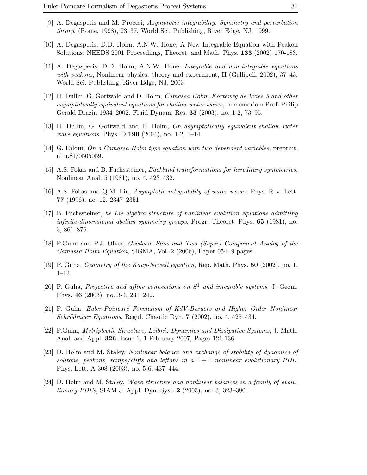- [9] A. Degasperis and M. Procesi, Asymptotic integrability. Symmetry and perturbation theory, (Rome, 1998), 23–37, World Sci. Publishing, River Edge, NJ, 1999.
- [10] A. Degasperis, D.D. Holm, A.N.W. Hone, A New Integrable Equation with Peakon Solutions, NEEDS 2001 Proceedings, Theoret. and Math. Phys. 133 (2002) 170-183.
- [11] A. Degasperis, D.D. Holm, A.N.W. Hone, Integrable and non-integrable equations with peakons, Nonlinear physics: theory and experiment, II (Gallipoli, 2002), 37–43, World Sci. Publishing, River Edge, NJ, 2003
- [12] H. Dullin, G. Gottwald and D. Holm, Camassa-Holm, Korteweg-de Vries-5 and other asymptotically equivalent equations for shallow water waves, In memoriam Prof. Philip Gerald Drazin 1934–2002. Fluid Dynam. Res. 33 (2003), no. 1-2, 73–95.
- [13] H. Dullin, G. Gottwald and D. Holm, On asymptotically equivalent shallow water wave equations, Phys. D **190** (2004), no. 1-2, 1-14.
- [14] G. Falqui, On a Camassa-Holm type equation with two dependent variables, preprint, nlin.SI/0505059.
- [15] A.S. Fokas and B. Fuchssteiner, *Bäcklund transformations for hereditary symmetries*, Nonlinear Anal. 5 (1981), no. 4, 423–432.
- [16] A.S. Fokas and Q.M. Liu, Asymptotic integrability of water waves, Phys. Rev. Lett. 77 (1996), no. 12, 2347–2351
- [17] B. Fuchssteiner, he Lie algebra structure of nonlinear evolution equations admitting *infinite-dimensional abelian symmetry groups*, Progr. Theoret. Phys.  $65$  (1981), no. 3, 861–876.
- [18] P.Guha and P.J. Olver, Geodesic Flow and Two (Super) Component Analog of the Camassa-Holm Equation, SIGMA, Vol. 2 (2006), Paper 054, 9 pages.
- [19] P. Guha, Geometry of the Kaup-Newell equation, Rep. Math. Phys. 50 (2002), no. 1, 1–12.
- [20] P. Guha, Projective and affine connections on  $S^1$  and integrable systems, J. Geom. Phys. 46 (2003), no. 3-4, 231–242.
- [21] P. Guha, Euler-Poincaré Formalism of KdV-Burgers and Higher Order Nonlinear  $Schrödinger Equations, Regul. Chaotic Dyn. 7 (2002), no. 4, 425–434.$
- [22] P.Guha, Metriplectic Structure, Leibniz Dynamics and Dissipative Systems, J. Math. Anal. and Appl. 326, Issue 1, 1 February 2007, Pages 121-136
- [23] D. Holm and M. Staley, Nonlinear balance and exchange of stability of dynamics of solitons, peakons, ramps/cliffs and leftons in a  $1 + 1$  nonlinear evolutionary PDE, Phys. Lett. A 308 (2003), no. 5-6, 437–444.
- [24] D. Holm and M. Staley, Wave structure and nonlinear balances in a family of evolutionary PDEs, SIAM J. Appl. Dyn. Syst. 2 (2003), no. 3, 323–380.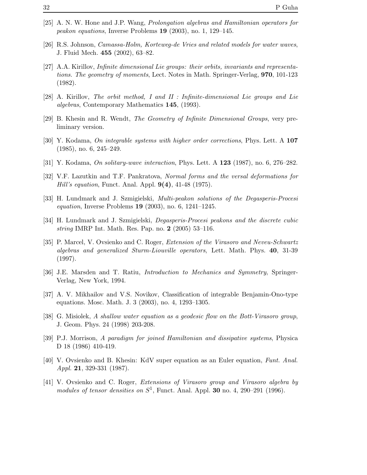- [25] A. N. W. Hone and J.P. Wang, Prolongation algebras and Hamiltonian operators for peakon equations, Inverse Problems 19 (2003), no. 1, 129–145.
- [26] R.S. Johnson, Camassa-Holm, Korteweg-de Vries and related models for water waves, J. Fluid Mech. 455 (2002), 63–82.
- [27] A.A. Kirillov, Infinite dimensional Lie groups: their orbits, invariants and representations. The geometry of moments, Lect. Notes in Math. Springer-Verlag, 970, 101-123 (1982).
- [28] A. Kirillov, The orbit method, I and II : Infinite-dimensional Lie groups and Lie algebras, Contemporary Mathematics 145, (1993).
- [29] B. Khesin and R. Wendt, The Geometry of Infinite Dimensional Groups, very preliminary version.
- [30] Y. Kodama, On integrable systems with higher order corrections, Phys. Lett. A 107 (1985), no. 6, 245–249.
- [31] Y. Kodama, On solitary-wave interaction, Phys. Lett. A 123 (1987), no. 6, 276–282.
- [32] V.F. Lazutkin and T.F. Pankratova, Normal forms and the versal deformations for *Hill's equation*, Funct. Anal. Appl.  $9(4)$ , 41-48 (1975).
- [33] H. Lundmark and J. Szmigielski, Multi-peakon solutions of the Degasperis-Procesi equation, Inverse Problems 19 (2003), no. 6, 1241–1245.
- [34] H. Lundmark and J. Szmigielski, Degasperis-Procesi peakons and the discrete cubic string IMRP Int. Math. Res. Pap. no. 2 (2005) 53–116.
- [35] P. Marcel, V. Ovsienko and C. Roger, Extension of the Virasoro and Neveu-Schwartz algebras and generalized Sturm-Liouville operators, Lett. Math. Phys. 40, 31-39 (1997).
- [36] J.E. Marsden and T. Ratiu, Introduction to Mechanics and Symmetry, Springer-Verlag, New York, 1994.
- [37] A. V. Mikhailov and V.S. Novikov, Classification of integrable Benjamin-Ono-type equations. Mosc. Math. J. 3 (2003), no. 4, 1293–1305.
- [38] G. Misiolek, A shallow water equation as a geodesic flow on the Bott-Virasoro group, J. Geom. Phys. 24 (1998) 203-208.
- [39] P.J. Morrison, A paradigm for joined Hamiltonian and dissipative systems, Physica D 18 (1986) 410-419.
- [40] V. Ovsienko and B. Khesin: KdV super equation as an Euler equation, Funt. Anal. Appl. 21, 329-331 (1987).
- [41] V. Ovsienko and C. Roger, Extensions of Virasoro group and Virasoro algebra by modules of tensor densities on  $S^1$ , Funct. Anal. Appl. 30 no. 4, 290–291 (1996).